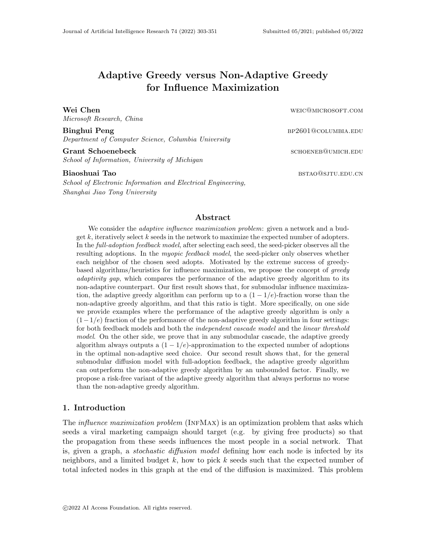# Adaptive Greedy versus Non-Adaptive Greedy for Influence Maximization

Microsoft Research, China

Binghui Peng bp2601@columbia.edu Department of Computer Science, Columbia University

Grant Schoenebeck schoenebeck schoener schoener and schoener schoener and schoener schoener schoener schoener School of Information, University of Michigan

School of Electronic Information and Electrical Engineering, Shanghai Jiao Tong University

Wei Chen weichen weiter weiter weiter weiter weiter weiter weiter weiter weiter weiter weiter weiter weiter weiter weiter weiter weiter weiter weiter weiter weiter weiter weiter weiter weiter weiter weiter weiter weiter we

Biaoshuai Tao bstao@sjtu.edu.cn

#### Abstract

We consider the *adaptive influence maximization problem*: given a network and a budget  $k$ , iteratively select  $k$  seeds in the network to maximize the expected number of adopters. In the *full-adoption feedback model*, after selecting each seed, the seed-picker observes all the resulting adoptions. In the *myopic feedback model*, the seed-picker only observes whether each neighbor of the chosen seed adopts. Motivated by the extreme success of greedybased algorithms/heuristics for influence maximization, we propose the concept of greedy adaptivity gap, which compares the performance of the adaptive greedy algorithm to its non-adaptive counterpart. Our first result shows that, for submodular influence maximization, the adaptive greedy algorithm can perform up to a  $(1 - 1/e)$ -fraction worse than the non-adaptive greedy algorithm, and that this ratio is tight. More specifically, on one side we provide examples where the performance of the adaptive greedy algorithm is only a  $(1-1/e)$  fraction of the performance of the non-adaptive greedy algorithm in four settings: for both feedback models and both the independent cascade model and the linear threshold model. On the other side, we prove that in any submodular cascade, the adaptive greedy algorithm always outputs a  $(1 - 1/e)$ -approximation to the expected number of adoptions in the optimal non-adaptive seed choice. Our second result shows that, for the general submodular diffusion model with full-adoption feedback, the adaptive greedy algorithm can outperform the non-adaptive greedy algorithm by an unbounded factor. Finally, we propose a risk-free variant of the adaptive greedy algorithm that always performs no worse than the non-adaptive greedy algorithm.

## 1. Introduction

The *influence maximization problem* (INFMAX) is an optimization problem that asks which seeds a viral marketing campaign should target (e.g. by giving free products) so that the propagation from these seeds influences the most people in a social network. That is, given a graph, a *stochastic diffusion model* defining how each node is infected by its neighbors, and a limited budget k, how to pick k seeds such that the expected number of total infected nodes in this graph at the end of the diffusion is maximized. This problem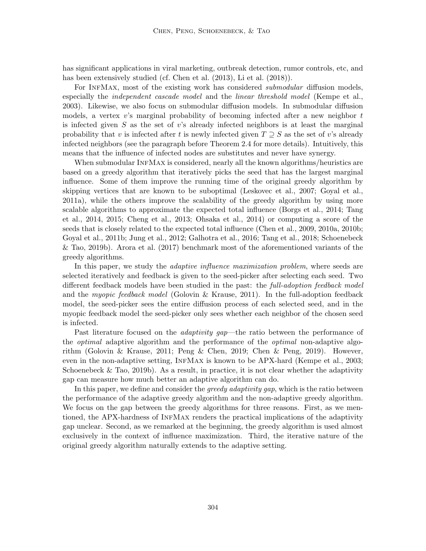has significant applications in viral marketing, outbreak detection, rumor controls, etc, and has been extensively studied (cf. Chen et al. (2013), Li et al. (2018)).

For INFMAX, most of the existing work has considered *submodular* diffusion models, especially the *independent cascade model* and the *linear threshold model* (Kempe et al., 2003). Likewise, we also focus on submodular diffusion models. In submodular diffusion models, a vertex v's marginal probability of becoming infected after a new neighbor  $t$ is infected given S as the set of v's already infected neighbors is at least the marginal probability that v is infected after t is newly infected given  $T \supseteq S$  as the set of v's already infected neighbors (see the paragraph before Theorem 2.4 for more details). Intuitively, this means that the influence of infected nodes are substitutes and never have synergy.

When submodular INFMAX is considered, nearly all the known algorithms/heuristics are based on a greedy algorithm that iteratively picks the seed that has the largest marginal influence. Some of them improve the running time of the original greedy algorithm by skipping vertices that are known to be suboptimal (Leskovec et al., 2007; Goyal et al., 2011a), while the others improve the scalability of the greedy algorithm by using more scalable algorithms to approximate the expected total influence (Borgs et al., 2014; Tang et al., 2014, 2015; Cheng et al., 2013; Ohsaka et al., 2014) or computing a score of the seeds that is closely related to the expected total influence (Chen et al., 2009, 2010a, 2010b; Goyal et al., 2011b; Jung et al., 2012; Galhotra et al., 2016; Tang et al., 2018; Schoenebeck & Tao, 2019b). Arora et al. (2017) benchmark most of the aforementioned variants of the greedy algorithms.

In this paper, we study the *adaptive influence maximization problem*, where seeds are selected iteratively and feedback is given to the seed-picker after selecting each seed. Two different feedback models have been studied in the past: the *full-adoption feedback model* and the myopic feedback model (Golovin & Krause, 2011). In the full-adoption feedback model, the seed-picker sees the entire diffusion process of each selected seed, and in the myopic feedback model the seed-picker only sees whether each neighbor of the chosen seed is infected.

Past literature focused on the *adaptivity gap*—the ratio between the performance of the *optimal* adaptive algorithm and the performance of the *optimal* non-adaptive algorithm (Golovin & Krause, 2011; Peng & Chen, 2019; Chen & Peng, 2019). However, even in the non-adaptive setting, InfMax is known to be APX-hard (Kempe et al., 2003; Schoenebeck  $\&$  Tao, 2019b). As a result, in practice, it is not clear whether the adaptivity gap can measure how much better an adaptive algorithm can do.

In this paper, we define and consider the greedy adaptivity gap, which is the ratio between the performance of the adaptive greedy algorithm and the non-adaptive greedy algorithm. We focus on the gap between the greedy algorithms for three reasons. First, as we mentioned, the APX-hardness of InfMax renders the practical implications of the adaptivity gap unclear. Second, as we remarked at the beginning, the greedy algorithm is used almost exclusively in the context of influence maximization. Third, the iterative nature of the original greedy algorithm naturally extends to the adaptive setting.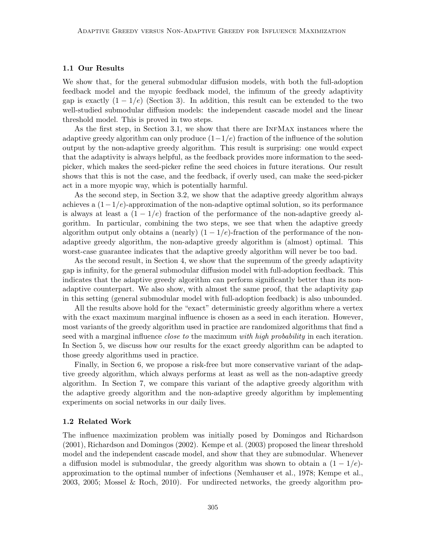## 1.1 Our Results

We show that, for the general submodular diffusion models, with both the full-adoption feedback model and the myopic feedback model, the infimum of the greedy adaptivity gap is exactly  $(1 - 1/e)$  (Section 3). In addition, this result can be extended to the two well-studied submodular diffusion models: the independent cascade model and the linear threshold model. This is proved in two steps.

As the first step, in Section 3.1, we show that there are InfMax instances where the adaptive greedy algorithm can only produce  $(1-1/e)$  fraction of the influence of the solution output by the non-adaptive greedy algorithm. This result is surprising: one would expect that the adaptivity is always helpful, as the feedback provides more information to the seedpicker, which makes the seed-picker refine the seed choices in future iterations. Our result shows that this is not the case, and the feedback, if overly used, can make the seed-picker act in a more myopic way, which is potentially harmful.

As the second step, in Section 3.2, we show that the adaptive greedy algorithm always achieves a  $(1-1/e)$ -approximation of the non-adaptive optimal solution, so its performance is always at least a  $(1 - 1/e)$  fraction of the performance of the non-adaptive greedy algorithm. In particular, combining the two steps, we see that when the adaptive greedy algorithm output only obtains a (nearly)  $(1 - 1/e)$ -fraction of the performance of the nonadaptive greedy algorithm, the non-adaptive greedy algorithm is (almost) optimal. This worst-case guarantee indicates that the adaptive greedy algorithm will never be too bad.

As the second result, in Section 4, we show that the supremum of the greedy adaptivity gap is infinity, for the general submodular diffusion model with full-adoption feedback. This indicates that the adaptive greedy algorithm can perform significantly better than its nonadaptive counterpart. We also show, with almost the same proof, that the adaptivity gap in this setting (general submodular model with full-adoption feedback) is also unbounded.

All the results above hold for the "exact" deterministic greedy algorithm where a vertex with the exact maximum marginal influence is chosen as a seed in each iteration. However, most variants of the greedy algorithm used in practice are randomized algorithms that find a seed with a marginal influence *close to* the maximum with high probability in each iteration. In Section 5, we discuss how our results for the exact greedy algorithm can be adapted to those greedy algorithms used in practice.

Finally, in Section 6, we propose a risk-free but more conservative variant of the adaptive greedy algorithm, which always performs at least as well as the non-adaptive greedy algorithm. In Section 7, we compare this variant of the adaptive greedy algorithm with the adaptive greedy algorithm and the non-adaptive greedy algorithm by implementing experiments on social networks in our daily lives.

#### 1.2 Related Work

The influence maximization problem was initially posed by Domingos and Richardson (2001), Richardson and Domingos (2002). Kempe et al. (2003) proposed the linear threshold model and the independent cascade model, and show that they are submodular. Whenever a diffusion model is submodular, the greedy algorithm was shown to obtain a  $(1 - 1/e)$ approximation to the optimal number of infections (Nemhauser et al., 1978; Kempe et al., 2003, 2005; Mossel & Roch, 2010). For undirected networks, the greedy algorithm pro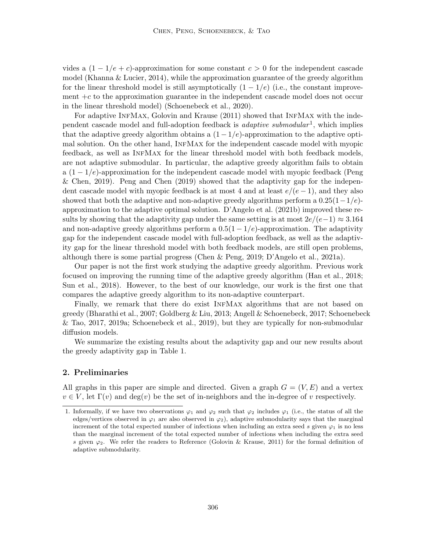vides a  $(1 - 1/e + c)$ -approximation for some constant  $c > 0$  for the independent cascade model (Khanna & Lucier, 2014), while the approximation guarantee of the greedy algorithm for the linear threshold model is still asymptotically  $(1 - 1/e)$  (i.e., the constant improvement  $+c$  to the approximation guarantee in the independent cascade model does not occur in the linear threshold model) (Schoenebeck et al., 2020).

For adaptive INFMAX, Golovin and Krause (2011) showed that INFMAX with the independent cascade model and full-adoption feedback is *adaptive submodular*<sup>1</sup>, which implies that the adaptive greedy algorithm obtains a  $(1 - 1/e)$ -approximation to the adaptive optimal solution. On the other hand, InfMax for the independent cascade model with myopic feedback, as well as InfMax for the linear threshold model with both feedback models, are not adaptive submodular. In particular, the adaptive greedy algorithm fails to obtain a  $(1 - 1/e)$ -approximation for the independent cascade model with myopic feedback (Peng & Chen, 2019). Peng and Chen (2019) showed that the adaptivity gap for the independent cascade model with myopic feedback is at most 4 and at least  $e/(e-1)$ , and they also showed that both the adaptive and non-adaptive greedy algorithms perform a  $0.25(1-1/e)$ approximation to the adaptive optimal solution. D'Angelo et al. (2021b) improved these results by showing that the adaptivity gap under the same setting is at most  $2e/(e-1) \approx 3.164$ and non-adaptive greedy algorithms perform a  $0.5(1 - 1/e)$ -approximation. The adaptivity gap for the independent cascade model with full-adoption feedback, as well as the adaptivity gap for the linear threshold model with both feedback models, are still open problems, although there is some partial progress (Chen & Peng, 2019; D'Angelo et al., 2021a).

Our paper is not the first work studying the adaptive greedy algorithm. Previous work focused on improving the running time of the adaptive greedy algorithm (Han et al., 2018; Sun et al., 2018). However, to the best of our knowledge, our work is the first one that compares the adaptive greedy algorithm to its non-adaptive counterpart.

Finally, we remark that there do exist InfMax algorithms that are not based on greedy (Bharathi et al., 2007; Goldberg & Liu, 2013; Angell & Schoenebeck, 2017; Schoenebeck & Tao, 2017, 2019a; Schoenebeck et al., 2019), but they are typically for non-submodular diffusion models.

We summarize the existing results about the adaptivity gap and our new results about the greedy adaptivity gap in Table 1.

## 2. Preliminaries

All graphs in this paper are simple and directed. Given a graph  $G = (V, E)$  and a vertex  $v \in V$ , let  $\Gamma(v)$  and deg(v) be the set of in-neighbors and the in-degree of v respectively.

<sup>1.</sup> Informally, if we have two observations  $\varphi_1$  and  $\varphi_2$  such that  $\varphi_2$  includes  $\varphi_1$  (i.e., the status of all the edges/vertices observed in  $\varphi_1$  are also observed in  $\varphi_2$ ), adaptive submodularity says that the marginal increment of the total expected number of infections when including an extra seed s given  $\varphi_1$  is no less than the marginal increment of the total expected number of infections when including the extra seed s given  $\varphi_2$ . We refer the readers to Reference (Golovin & Krause, 2011) for the formal definition of adaptive submodularity.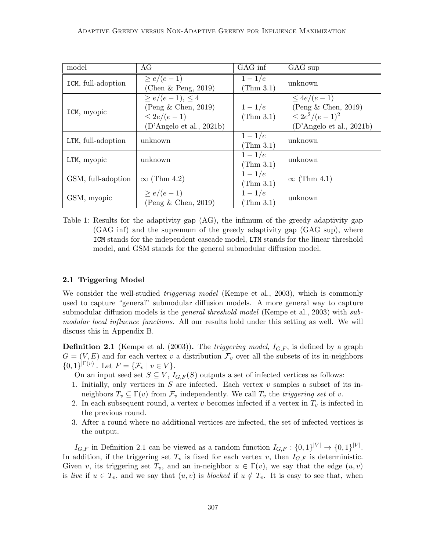| model              | AG                                                                                               | GAG inf                        | GAG sup                                                                                      |
|--------------------|--------------------------------------------------------------------------------------------------|--------------------------------|----------------------------------------------------------------------------------------------|
| ICM, full-adoption | $\geq e/(e-1)$<br>(Chen $\&$ Peng, 2019)                                                         | $1-1/e$<br>$(\text{Thm } 3.1)$ | unknown                                                                                      |
| ICM, myopic        | $\ge e/(e-1), \le 4$<br>$($ Peng $\&$ Chen, 2019)<br>$\leq 2e/(e-1)$<br>(D'Angelo et al., 2021b) | $1-1/e$<br>(Thm 3.1)           | $\leq 4e/(e-1)$<br>$($ Peng & Chen, 2019)<br>$\leq 2e^2/(e-1)^2$<br>(D'Angelo et al., 2021b) |
| LTM, full-adoption | unknown                                                                                          | $1-1/e$<br>$(\text{Thm } 3.1)$ | unknown                                                                                      |
| LTM, myopic        | unknown                                                                                          | $1-1/e$<br>(Thm 3.1)           | unknown                                                                                      |
| GSM, full-adoption | $\infty$ (Thm 4.2)                                                                               | $1-1/e$<br>$(\text{Thm }3.1)$  | $\infty$ (Thm 4.1)                                                                           |
| GSM, myopic        | $\geq e/(e-1)$<br>(Peng & Chen, 2019)                                                            | $1-1/e$<br>(Thm 3.1)           | unknown                                                                                      |

Table 1: Results for the adaptivity gap (AG), the infimum of the greedy adaptivity gap (GAG inf) and the supremum of the greedy adaptivity gap (GAG sup), where ICM stands for the independent cascade model, LTM stands for the linear threshold model, and GSM stands for the general submodular diffusion model.

#### 2.1 Triggering Model

We consider the well-studied *triggering model* (Kempe et al., 2003), which is commonly used to capture "general" submodular diffusion models. A more general way to capture submodular diffusion models is the *general threshold model* (Kempe et al., 2003) with submodular local influence functions. All our results hold under this setting as well. We will discuss this in Appendix B.

**Definition 2.1** (Kempe et al. (2003)). The *triggering model*,  $I_{G,F}$ , is defined by a graph  $G = (V, E)$  and for each vertex v a distribution  $\mathcal{F}_v$  over all the subsets of its in-neighbors  ${0,1\}^{|\Gamma(v)|}$ . Let  $F = {\mathcal{F}_v \mid v \in V}.$ 

- On an input seed set  $S \subseteq V$ ,  $I_{G,F}(S)$  outputs a set of infected vertices as follows:
- 1. Initially, only vertices in  $S$  are infected. Each vertex  $v$  samples a subset of its inneighbors  $T_v \subseteq \Gamma(v)$  from  $\mathcal{F}_v$  independently. We call  $T_v$  the *triggering set* of v.
- 2. In each subsequent round, a vertex v becomes infected if a vertex in  $T_v$  is infected in the previous round.
- 3. After a round where no additional vertices are infected, the set of infected vertices is the output.

 $I_{G,F}$  in Definition 2.1 can be viewed as a random function  $I_{G,F}: \{0,1\}^{|V|} \to \{0,1\}^{|V|}$ . In addition, if the triggering set  $T_v$  is fixed for each vertex v, then  $I_{G,F}$  is deterministic. Given v, its triggering set  $T_v$ , and an in-neighbor  $u \in \Gamma(v)$ , we say that the edge  $(u, v)$ is live if  $u \in T_v$ , and we say that  $(u, v)$  is blocked if  $u \notin T_v$ . It is easy to see that, when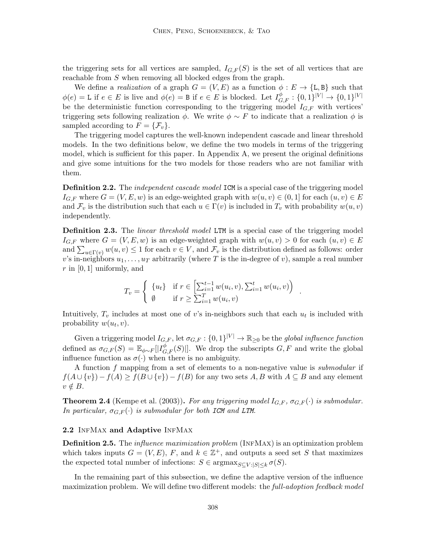the triggering sets for all vertices are sampled,  $I_{G,F}(S)$  is the set of all vertices that are reachable from S when removing all blocked edges from the graph.

We define a *realization* of a graph  $G = (V, E)$  as a function  $\phi : E \to \{L, B\}$  such that  $\phi(e) = L$  if  $e \in E$  is live and  $\phi(e) = B$  if  $e \in E$  is blocked. Let  $I_{G,F}^{\phi} : \{0,1\}^{|V|} \to \{0,1\}^{|V|}$ be the deterministic function corresponding to the triggering model  $I_{G,F}$  with vertices' triggering sets following realization  $\phi$ . We write  $\phi \sim F$  to indicate that a realization  $\phi$  is sampled according to  $F = \{F_v\}.$ 

The triggering model captures the well-known independent cascade and linear threshold models. In the two definitions below, we define the two models in terms of the triggering model, which is sufficient for this paper. In Appendix A, we present the original definitions and give some intuitions for the two models for those readers who are not familiar with them.

**Definition 2.2.** The *independent cascade model* ICM is a special case of the triggering model  $I_{G,F}$  where  $G = (V, E, w)$  is an edge-weighted graph with  $w(u, v) \in (0, 1]$  for each  $(u, v) \in E$ and  $\mathcal{F}_v$  is the distribution such that each  $u \in \Gamma(v)$  is included in  $T_v$  with probability  $w(u, v)$ independently.

**Definition 2.3.** The *linear threshold model* LTM is a special case of the triggering model  $I_{G,F}$  where  $G = (V, E, w)$  is an edge-weighted graph with  $w(u, v) > 0$  for each  $(u, v) \in E$ and  $\sum_{u \in \Gamma(v)} w(u, v) \leq 1$  for each  $v \in V$ , and  $\mathcal{F}_v$  is the distribution defined as follows: order v's in-neighbors  $u_1, \ldots, u_T$  arbitrarily (where T is the in-degree of v), sample a real number r in  $[0, 1]$  uniformly, and

$$
T_v = \begin{cases} \{u_t\} & \text{if } r \in \left[\sum_{i=1}^{t-1} w(u_i, v), \sum_{i=1}^t w(u_i, v)\right) \\ \emptyset & \text{if } r \ge \sum_{i=1}^T w(u_i, v) \end{cases}
$$

.

Intuitively,  $T_v$  includes at most one of v's in-neighbors such that each  $u_t$  is included with probability  $w(u_t, v)$ .

Given a triggering model  $I_{G,F}$ , let  $\sigma_{G,F}: \{0,1\}^{|V|} \to \mathbb{R}_{\geq 0}$  be the global influence function defined as  $\sigma_{G,F}(S) = \mathbb{E}_{\phi \sim F}[|I_{G,F}^{\phi}(S)|]$ . We drop the subscripts  $G, F$  and write the global influence function as  $\sigma(\cdot)$  when there is no ambiguity.

A function f mapping from a set of elements to a non-negative value is submodular if  $f(A \cup \{v\}) - f(A) \ge f(B \cup \{v\}) - f(B)$  for any two sets A, B with  $A \subseteq B$  and any element  $v \notin B$ .

**Theorem 2.4** (Kempe et al. (2003)). For any triggering model  $I_{G,F}$ ,  $\sigma_{G,F}(\cdot)$  is submodular. In particular,  $\sigma_{G,F}(\cdot)$  is submodular for both ICM and LTM.

### 2.2 INFMAX and Adaptive INFMAX

**Definition 2.5.** The *influence maximization problem* (INFMAX) is an optimization problem which takes inputs  $G = (V, E)$ , F, and  $k \in \mathbb{Z}^+$ , and outputs a seed set S that maximizes the expected total number of infections:  $S \in \text{argmax}_{S \subset V : |S| \leq k} \sigma(S)$ .

In the remaining part of this subsection, we define the adaptive version of the influence maximization problem. We will define two different models: the *full-adoption feedback model*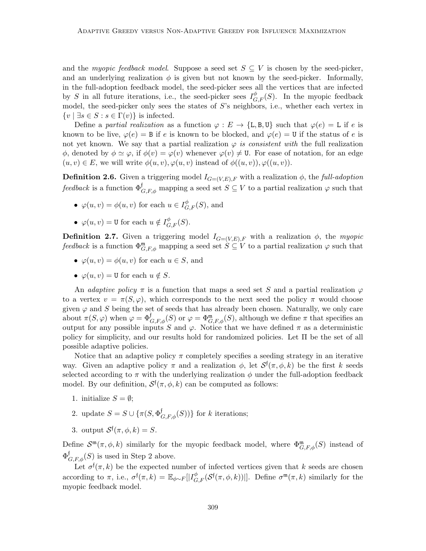and the myopic feedback model. Suppose a seed set  $S \subseteq V$  is chosen by the seed-picker, and an underlying realization  $\phi$  is given but not known by the seed-picker. Informally, in the full-adoption feedback model, the seed-picker sees all the vertices that are infected by S in all future iterations, i.e., the seed-picker sees  $I_{G,F}^{\phi}(S)$ . In the myopic feedback model, the seed-picker only sees the states of  $S$ 's neighbors, i.e., whether each vertex in  $\{v \mid \exists s \in S : s \in \Gamma(v)\}\$ is infected.

Define a partial realization as a function  $\varphi : E \to \{L, B, U\}$  such that  $\varphi(e) = L$  if e is known to be live,  $\varphi(e) = B$  if e is known to be blocked, and  $\varphi(e) = U$  if the status of e is not yet known. We say that a partial realization  $\varphi$  is consistent with the full realization  $\phi$ , denoted by  $\phi \simeq \varphi$ , if  $\phi(v) = \varphi(v)$  whenever  $\varphi(v) \neq 0$ . For ease of notation, for an edge  $(u, v) \in E$ , we will write  $\phi(u, v), \varphi(u, v)$  instead of  $\phi((u, v)), \varphi((u, v)).$ 

**Definition 2.6.** Given a triggering model  $I_{G=(V,E),F}$  with a realization  $\phi$ , the full-adoption feedback is a function  $\Phi_{G,F,\phi}^{\dagger}$  mapping a seed set  $S \subseteq V$  to a partial realization  $\varphi$  such that

- $\varphi(u, v) = \phi(u, v)$  for each  $u \in I_{G, F}^{\phi}(S)$ , and
- $\varphi(u, v) = \mathbf{U}$  for each  $u \notin I_{G, F}^{\phi}(S)$ .

**Definition 2.7.** Given a triggering model  $I_{G=(V,E),F}$  with a realization  $\phi$ , the myopic feedback is a function  $\Phi_{G,F,\phi}^{\mathfrak{m}}$  mapping a seed set  $S \subseteq V$  to a partial realization  $\varphi$  such that

- $\varphi(u, v) = \varphi(u, v)$  for each  $u \in S$ , and
- $\varphi(u, v) = U$  for each  $u \notin S$ .

An *adaptive policy*  $\pi$  is a function that maps a seed set S and a partial realization  $\varphi$ to a vertex  $v = \pi(S, \varphi)$ , which corresponds to the next seed the policy  $\pi$  would choose given  $\varphi$  and S being the set of seeds that has already been chosen. Naturally, we only care about  $\pi(S, \varphi)$  when  $\varphi = \Phi_{G, F, \phi}^{\dagger}(S)$  or  $\varphi = \Phi_{G, F, \phi}^{\mathfrak{m}}(S)$ , although we define  $\pi$  that specifies an output for any possible inputs S and  $\varphi$ . Notice that we have defined  $\pi$  as a deterministic policy for simplicity, and our results hold for randomized policies. Let Π be the set of all possible adaptive policies.

Notice that an adaptive policy  $\pi$  completely specifies a seeding strategy in an iterative way. Given an adaptive policy  $\pi$  and a realization  $\phi$ , let  $\mathcal{S}^{\dagger}(\pi,\phi,k)$  be the first k seeds selected according to  $\pi$  with the underlying realization  $\phi$  under the full-adoption feedback model. By our definition,  $S^{\dagger}(\pi, \phi, k)$  can be computed as follows:

- 1. initialize  $S = \emptyset$ ;
- 2. update  $S = S \cup {\pi(S, \Phi_{G,F,\phi}^{\dagger}(S))}$  for k iterations;
- 3. output  $S^{\dagger}(\pi, \phi, k) = S$ .

Define  $S^{m}(\pi, \phi, k)$  similarly for the myopic feedback model, where  $\Phi^{\mathfrak{m}}_{G,F,\phi}(S)$  instead of  $\Phi_{G,F,\phi}^{\dagger}(S)$  is used in Step 2 above.

Let  $\sigma^{\dagger}(\pi, k)$  be the expected number of infected vertices given that k seeds are chosen according to  $\pi$ , i.e.,  $\sigma^{\dagger}(\pi, k) = \mathbb{E}_{\phi \sim F}[|I^{\phi}_{G, F}(\mathcal{S}^{\dagger}(\pi, \phi, k))|]$ . Define  $\sigma^{\mathfrak{m}}(\pi, k)$  similarly for the myopic feedback model.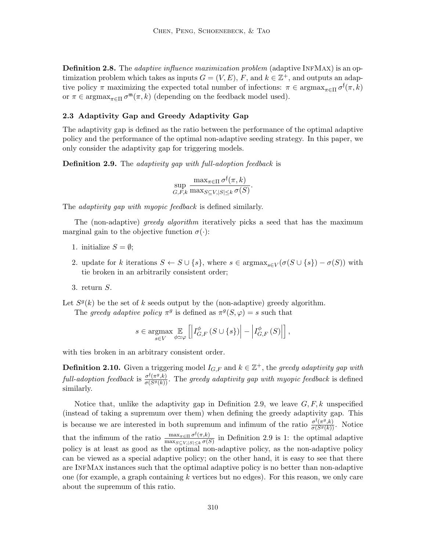**Definition 2.8.** The *adaptive influence maximization problem* (adaptive INFMAX) is an optimization problem which takes as inputs  $G = (V, E)$ , F, and  $k \in \mathbb{Z}^+$ , and outputs an adaptive policy  $\pi$  maximizing the expected total number of infections:  $\pi \in \text{argmax}_{\pi \in \Pi} \sigma^{\dagger}(\pi, k)$ or  $\pi \in \operatorname{argmax}_{\pi \in \Pi} \sigma^{\mathfrak{m}}(\pi, k)$  (depending on the feedback model used).

#### 2.3 Adaptivity Gap and Greedy Adaptivity Gap

The adaptivity gap is defined as the ratio between the performance of the optimal adaptive policy and the performance of the optimal non-adaptive seeding strategy. In this paper, we only consider the adaptivity gap for triggering models.

**Definition 2.9.** The adaptivity gap with full-adoption feedback is

$$
\sup_{G,F,k} \frac{\max_{\pi \in \Pi} \sigma^{\dagger}(\pi, k)}{\max_{S \subseteq V, |S| \leq k} \sigma(S)}.
$$

The *adaptivity gap with myopic feedback* is defined similarly.

The (non-adaptive) greedy algorithm iteratively picks a seed that has the maximum marginal gain to the objective function  $\sigma(\cdot)$ :

- 1. initialize  $S = \emptyset$ ;
- 2. update for k iterations  $S \leftarrow S \cup \{s\}$ , where  $s \in \text{argmax}_{s \in V} (\sigma(S \cup \{s\}) \sigma(S))$  with tie broken in an arbitrarily consistent order;
- 3. return S.

Let  $S<sup>g</sup>(k)$  be the set of k seeds output by the (non-adaptive) greedy algorithm.

The greedy adaptive policy  $\pi^g$  is defined as  $\pi^g(S, \varphi) = s$  such that

$$
s \in \underset{s \in V}{\operatorname{argmax}} \mathop{\mathbb{E}}_{\phi \simeq \varphi} \left[ \left| I_{G,F}^{\phi} \left( S \cup \{s\} \right) \right| - \left| I_{G,F}^{\phi} \left( S \right) \right| \right],
$$

with ties broken in an arbitrary consistent order.

**Definition 2.10.** Given a triggering model  $I_{G,F}$  and  $k \in \mathbb{Z}^+$ , the greedy adaptivity gap with full-adoption feedback is  $\frac{\sigma^f(\pi^g,k)}{\sigma(S^g(k))}$ . The greedy adaptivity gap with myopic feedback is defined similarly.

Notice that, unlike the adaptivity gap in Definition 2.9, we leave  $G, F, k$  unspecified (instead of taking a supremum over them) when defining the greedy adaptivity gap. This is because we are interested in both supremum and infimum of the ratio  $\frac{\sigma^{\{(\pi g,k\)}}}{\sigma(S^g(k))}$ . Notice that the infimum of the ratio  $\frac{\max_{\pi \in \Pi} \sigma^{\dagger}(\pi,k)}{\max_{\pi \in \Pi} \sigma^{\dagger}(\pi,k)}$  $\frac{\max_{\pi \in \Pi} \sigma'(\pi, \kappa)}{\max_{S \subseteq V, |S| \leq k} \sigma(S)}$  in Definition 2.9 is 1: the optimal adaptive policy is at least as good as the optimal non-adaptive policy, as the non-adaptive policy can be viewed as a special adaptive policy; on the other hand, it is easy to see that there are InfMax instances such that the optimal adaptive policy is no better than non-adaptive one (for example, a graph containing k vertices but no edges). For this reason, we only care about the supremum of this ratio.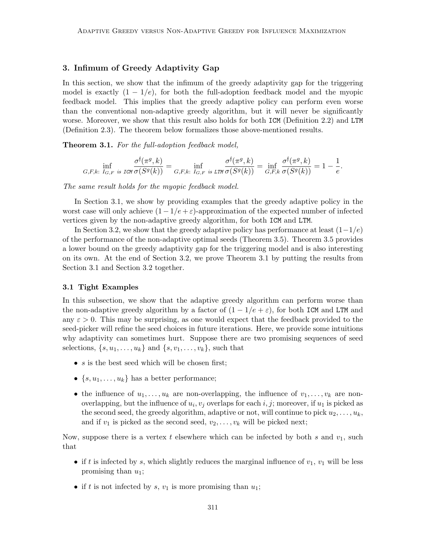## 3. Infimum of Greedy Adaptivity Gap

In this section, we show that the infimum of the greedy adaptivity gap for the triggering model is exactly  $(1 - 1/e)$ , for both the full-adoption feedback model and the myopic feedback model. This implies that the greedy adaptive policy can perform even worse than the conventional non-adaptive greedy algorithm, but it will never be significantly worse. Moreover, we show that this result also holds for both ICM (Definition 2.2) and LTM (Definition 2.3). The theorem below formalizes those above-mentioned results.

Theorem 3.1. For the full-adoption feedback model,

$$
\inf_{G,F,k:\ I_{G,F}\text{ is ICM}}\frac{\sigma^\mathfrak{f}(\pi^g,k)}{\sigma(S^g(k))}=\inf_{G,F,k:\ I_{G,F}\text{ is ITM}}\frac{\sigma^\mathfrak{f}(\pi^g,k)}{\sigma(S^g(k))}=\inf_{G,F,k}\frac{\sigma^\mathfrak{f}(\pi^g,k)}{\sigma(S^g(k))}=1-\frac{1}{e}.
$$

The same result holds for the myopic feedback model.

In Section 3.1, we show by providing examples that the greedy adaptive policy in the worst case will only achieve  $(1 - 1/e + \varepsilon)$ -approximation of the expected number of infected vertices given by the non-adaptive greedy algorithm, for both ICM and LTM.

In Section 3.2, we show that the greedy adaptive policy has performance at least  $(1-1/e)$ of the performance of the non-adaptive optimal seeds (Theorem 3.5). Theorem 3.5 provides a lower bound on the greedy adaptivity gap for the triggering model and is also interesting on its own. At the end of Section 3.2, we prove Theorem 3.1 by putting the results from Section 3.1 and Section 3.2 together.

## 3.1 Tight Examples

In this subsection, we show that the adaptive greedy algorithm can perform worse than the non-adaptive greedy algorithm by a factor of  $(1 - 1/e + \varepsilon)$ , for both ICM and LTM and any  $\varepsilon > 0$ . This may be surprising, as one would expect that the feedback provided to the seed-picker will refine the seed choices in future iterations. Here, we provide some intuitions why adaptivity can sometimes hurt. Suppose there are two promising sequences of seed selections,  $\{s, u_1, \ldots, u_k\}$  and  $\{s, v_1, \ldots, v_k\}$ , such that

- $s$  is the best seed which will be chosen first;
- $\{s, u_1, \ldots, u_k\}$  has a better performance;
- the influence of  $u_1, \ldots, u_k$  are non-overlapping, the influence of  $v_1, \ldots, v_k$  are nonoverlapping, but the influence of  $u_i, v_j$  overlaps for each  $i, j$ ; moreover, if  $u_1$  is picked as the second seed, the greedy algorithm, adaptive or not, will continue to pick  $u_2, \ldots, u_k$ , and if  $v_1$  is picked as the second seed,  $v_2, \ldots, v_k$  will be picked next;

Now, suppose there is a vertex t elsewhere which can be infected by both s and  $v_1$ , such that

- if t is infected by s, which slightly reduces the marginal influence of  $v_1$ ,  $v_1$  will be less promising than  $u_1$ ;
- if t is not infected by s,  $v_1$  is more promising than  $u_1$ ;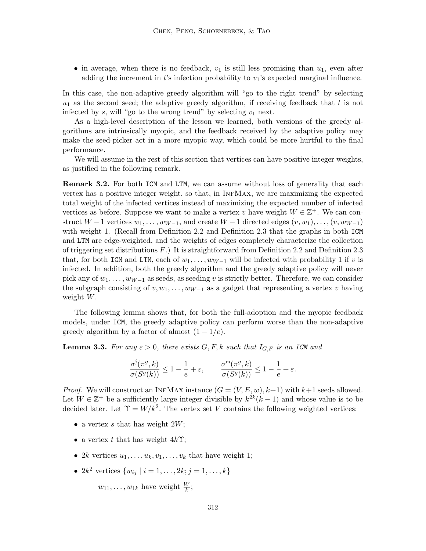• in average, when there is no feedback,  $v_1$  is still less promising than  $u_1$ , even after adding the increment in t's infection probability to  $v_1$ 's expected marginal influence.

In this case, the non-adaptive greedy algorithm will "go to the right trend" by selecting  $u_1$  as the second seed; the adaptive greedy algorithm, if receiving feedback that t is not infected by s, will "go to the wrong trend" by selecting  $v_1$  next.

As a high-level description of the lesson we learned, both versions of the greedy algorithms are intrinsically myopic, and the feedback received by the adaptive policy may make the seed-picker act in a more myopic way, which could be more hurtful to the final performance.

We will assume in the rest of this section that vertices can have positive integer weights, as justified in the following remark.

**Remark 3.2.** For both ICM and LTM, we can assume without loss of generality that each vertex has a positive integer weight, so that, in InfMax, we are maximizing the expected total weight of the infected vertices instead of maximizing the expected number of infected vertices as before. Suppose we want to make a vertex v have weight  $W \in \mathbb{Z}^+$ . We can construct  $W - 1$  vertices  $w_1, \ldots, w_{W-1}$ , and create  $W - 1$  directed edges  $(v, w_1), \ldots, (v, w_{W-1})$ with weight 1. (Recall from Definition 2.2 and Definition 2.3 that the graphs in both ICM and LTM are edge-weighted, and the weights of edges completely characterize the collection of triggering set distributions  $F$ .) It is straightforward from Definition 2.2 and Definition 2.3 that, for both ICM and LTM, each of  $w_1, \ldots, w_{W-1}$  will be infected with probability 1 if v is infected. In addition, both the greedy algorithm and the greedy adaptive policy will never pick any of  $w_1, \ldots, w_{W-1}$  as seeds, as seeding v is strictly better. Therefore, we can consider the subgraph consisting of  $v, w_1, \ldots, w_{W-1}$  as a gadget that representing a vertex v having weight W.

The following lemma shows that, for both the full-adoption and the myopic feedback models, under ICM, the greedy adaptive policy can perform worse than the non-adaptive greedy algorithm by a factor of almost  $(1 - 1/e)$ .

**Lemma 3.3.** For any  $\varepsilon > 0$ , there exists  $G, F, k$  such that  $I_{G,F}$  is an ICM and

$$
\frac{\sigma^{\mathfrak f}(\pi^g,k)}{\sigma(S^g(k))}\leq 1-\frac{1}{e}+\varepsilon,\qquad \frac{\sigma^{\mathfrak m}(\pi^g,k)}{\sigma(S^g(k))}\leq 1-\frac{1}{e}+\varepsilon.
$$

*Proof.* We will construct an INFMAX instance  $(G = (V, E, w), k+1)$  with  $k+1$  seeds allowed. Let  $W \in \mathbb{Z}^+$  be a sufficiently large integer divisible by  $k^{2k}(k-1)$  and whose value is to be decided later. Let  $\Upsilon = W/k^2$ . The vertex set V contains the following weighted vertices:

- a vertex s that has weight  $2W$ ;
- a vertex t that has weight  $4k\Upsilon$ ;
- 2k vertices  $u_1, \ldots, u_k, v_1, \ldots, v_k$  that have weight 1;
- $2k^2$  vertices  $\{w_{ij} \mid i = 1, ..., 2k; j = 1, ..., k\}$ 
	- $w_{11}, \ldots, w_{1k}$  have weight  $\frac{W}{k}$ ;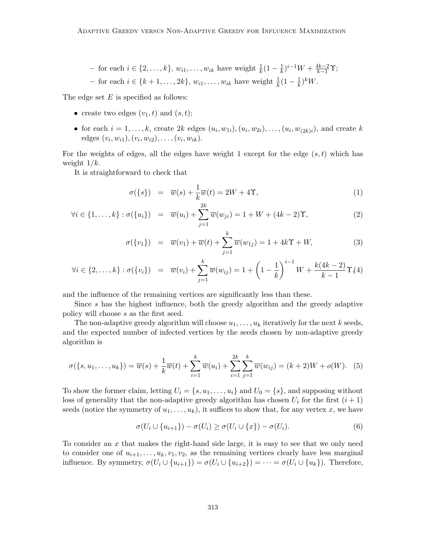- for each 
$$
i \in \{2, \ldots, k\}
$$
,  $w_{i1}, \ldots, w_{ik}$  have weight  $\frac{1}{k}(1 - \frac{1}{k})^{i-1}W + \frac{4k-2}{k-1}\Upsilon$ ; - for each  $i \in \{k+1, \ldots, 2k\}$ ,  $w_{i1}, \ldots, w_{ik}$  have weight  $\frac{1}{k}(1 - \frac{1}{k})^kW$ .

The edge set  $E$  is specified as follows:

- create two edges  $(v_1, t)$  and  $(s, t)$ ;
- for each  $i = 1, \ldots, k$ , create 2k edges  $(u_i, w_{1i}), (u_i, w_{2i}), \ldots, (u_i, w_{(2k)i})$ , and create k edges  $(v_i, w_{i1}), (v_i, w_{i2}), \ldots, (v_i, w_{ik}).$

For the weights of edges, all the edges have weight 1 except for the edge  $(s, t)$  which has weight  $1/k$ .

It is straightforward to check that

$$
\sigma({s}) = \overline{w}(s) + \frac{1}{k}\overline{w}(t) = 2W + 4\Upsilon,
$$
\n(1)

$$
\forall i \in \{1, ..., k\} : \sigma(\{u_i\}) = \overline{w}(u_i) + \sum_{j=1}^{2k} \overline{w}(w_{ji}) = 1 + W + (4k - 2)\Upsilon,
$$
 (2)

$$
\sigma(\{v_1\}) = \overline{w}(v_1) + \overline{w}(t) + \sum_{j=1}^k \overline{w}(w_{1j}) = 1 + 4k\Upsilon + W,
$$
\n(3)

$$
\forall i \in \{2, \ldots, k\} : \sigma(\{v_i\}) = \overline{w}(v_i) + \sum_{j=1}^k \overline{w}(w_{ij}) = 1 + \left(1 - \frac{1}{k}\right)^{i-1} W + \frac{k(4k-2)}{k-1} \Upsilon(\{4\})
$$

and the influence of the remaining vertices are significantly less than these.

Since s has the highest influence, both the greedy algorithm and the greedy adaptive policy will choose s as the first seed.

The non-adaptive greedy algorithm will choose  $u_1, \ldots, u_k$  iteratively for the next k seeds, and the expected number of infected vertices by the seeds chosen by non-adaptive greedy algorithm is

$$
\sigma(\{s, u_1, \dots, u_k\}) = \overline{w}(s) + \frac{1}{k}\overline{w}(t) + \sum_{i=1}^k \overline{w}(u_i) + \sum_{i=1}^{2k} \sum_{j=1}^k \overline{w}(w_{ij}) = (k+2)W + o(W). \tag{5}
$$

To show the former claim, letting  $U_i = \{s, u_1, \ldots, u_i\}$  and  $U_0 = \{s\}$ , and supposing without loss of generality that the non-adaptive greedy algorithm has chosen  $U_i$  for the first  $(i + 1)$ seeds (notice the symmetry of  $u_1, \ldots, u_k$ ), it suffices to show that, for any vertex x, we have

$$
\sigma(U_i \cup \{u_{i+1}\}) - \sigma(U_i) \ge \sigma(U_i \cup \{x\}) - \sigma(U_i). \tag{6}
$$

To consider an  $x$  that makes the right-hand side large, it is easy to see that we only need to consider one of  $u_{i+1}, \ldots, u_k, v_1, v_2$ , as the remaining vertices clearly have less marginal influence. By symmetry,  $\sigma(U_i \cup \{u_{i+1}\}) = \sigma(U_i \cup \{u_{i+2}\}) = \cdots = \sigma(U_i \cup \{u_k\})$ . Therefore,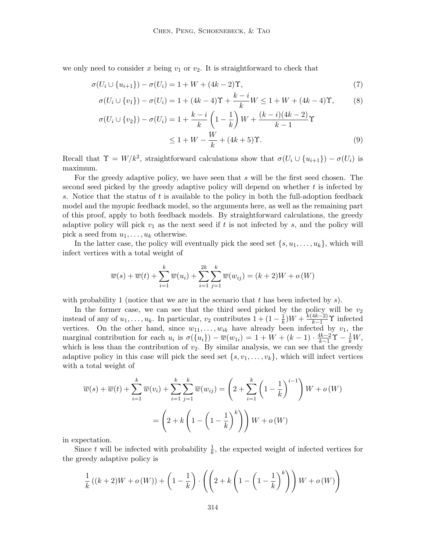we only need to consider x being  $v_1$  or  $v_2$ . It is straightforward to check that

$$
\sigma(U_i \cup \{u_{i+1}\}) - \sigma(U_i) = 1 + W + (4k - 2)\Upsilon,\tag{7}
$$

$$
\sigma(U_i \cup \{v_1\}) - \sigma(U_i) = 1 + (4k - 4)\Upsilon + \frac{k - i}{k}W \le 1 + W + (4k - 4)\Upsilon,
$$
 (8)

$$
\sigma(U_i \cup \{v_2\}) - \sigma(U_i) = 1 + \frac{k-i}{k} \left(1 - \frac{1}{k}\right) W + \frac{(k-i)(4k-2)}{k-1} \Upsilon
$$
  
 
$$
\leq 1 + W - \frac{W}{k} + (4k+5) \Upsilon.
$$
 (9)

Recall that  $\Upsilon = W/k^2$ , straightforward calculations show that  $\sigma(U_i \cup \{u_{i+1}\}) - \sigma(U_i)$  is maximum.

For the greedy adaptive policy, we have seen that s will be the first seed chosen. The second seed picked by the greedy adaptive policy will depend on whether  $t$  is infected by s. Notice that the status of t is available to the policy in both the full-adoption feedback model and the myopic feedback model, so the arguments here, as well as the remaining part of this proof, apply to both feedback models. By straightforward calculations, the greedy adaptive policy will pick  $v_1$  as the next seed if t is not infected by s, and the policy will pick a seed from  $u_1, \ldots, u_k$  otherwise.

In the latter case, the policy will eventually pick the seed set  $\{s, u_1, \ldots, u_k\}$ , which will infect vertices with a total weight of

$$
\overline{w}(s) + \overline{w}(t) + \sum_{i=1}^{k} \overline{w}(u_i) + \sum_{i=1}^{2k} \sum_{j=1}^{k} \overline{w}(w_{ij}) = (k+2)W + o(W)
$$

with probability 1 (notice that we are in the scenario that  $t$  has been infected by  $s$ ).

In the former case, we can see that the third seed picked by the policy will be  $v_2$ instead of any of  $u_1, \ldots, u_k$ . In particular,  $v_2$  contributes  $1 + (1 - \frac{1}{k})$  $(\frac{1}{k})W + \frac{k(4k-2)}{k-1}\Upsilon$  infected vertices. On the other hand, since  $w_{11}, \ldots, w_{ik}$  have already been infected by  $v_1$ , the marginal contribution for each  $u_i$  is  $\sigma({u_i}) - \overline{w}(w_{1i}) = 1 + W + (k-1) \cdot \frac{4k-2}{k-1} \Upsilon - \frac{1}{k}W$ , which is less than the contribution of  $v_2$ . By similar analysis, we can see that the greedy adaptive policy in this case will pick the seed set  $\{s, v_1, \ldots, v_k\}$ , which will infect vertices with a total weight of

$$
\overline{w}(s) + \overline{w}(t) + \sum_{i=1}^{k} \overline{w}(v_i) + \sum_{i=1}^{k} \sum_{j=1}^{k} \overline{w}(w_{ij}) = \left(2 + \sum_{i=1}^{k} \left(1 - \frac{1}{k}\right)^{i-1}\right)W + o(W)
$$

$$
= \left(2 + k\left(1 - \left(1 - \frac{1}{k}\right)^{k}\right)\right)W + o(W)
$$

in expectation.

Since t will be infected with probability  $\frac{1}{k}$ , the expected weight of infected vertices for the greedy adaptive policy is

$$
\frac{1}{k}((k+2)W + o(W)) + \left(1 - \frac{1}{k}\right) \cdot \left(\left(2 + k\left(1 - \left(1 - \frac{1}{k}\right)^k\right)\right)W + o(W)\right)
$$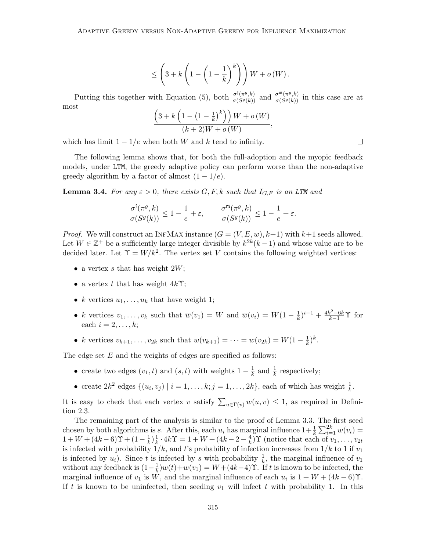$$
\leq \left(3+k\left(1-\left(1-\frac{1}{k}\right)^k\right)\right)W+o\left(W\right).
$$

Putting this together with Equation (5), both  $\frac{\sigma^{\mathfrak{f}}(\pi^g,k)}{\sigma(S^g(k))}$  and  $\frac{\sigma^{\mathfrak{m}}(\pi^g,k)}{\sigma(S^g(k))}$  in this case are at most

$$
\frac{\left(3+k\left(1-\left(1-\frac{1}{k}\right)^k\right)\right)W+o\left(W\right)}{(k+2)W+o\left(W\right)},
$$

which has limit  $1 - 1/e$  when both W and k tend to infinity.

The following lemma shows that, for both the full-adoption and the myopic feedback models, under LTM, the greedy adaptive policy can perform worse than the non-adaptive greedy algorithm by a factor of almost  $(1 - 1/e)$ .

**Lemma 3.4.** For any  $\varepsilon > 0$ , there exists  $G, F, k$  such that  $I_{G,F}$  is an LTM and

$$
\frac{\sigma^{\mathfrak{f}}(\pi^{g},k)}{\sigma(S^{g}(k))} \leq 1 - \frac{1}{e} + \varepsilon, \qquad \frac{\sigma^{\mathfrak{m}}(\pi^{g},k)}{\sigma(S^{g}(k))} \leq 1 - \frac{1}{e} + \varepsilon.
$$

*Proof.* We will construct an INFMAX instance  $(G = (V, E, w), k+1)$  with  $k+1$  seeds allowed. Let  $W \in \mathbb{Z}^+$  be a sufficiently large integer divisible by  $k^{2k}(k-1)$  and whose value are to be decided later. Let  $\Upsilon = W/k^2$ . The vertex set V contains the following weighted vertices:

- a vertex s that has weight  $2W$ ;
- a vertex t that has weight  $4k\Upsilon$ ;
- k vertices  $u_1, \ldots, u_k$  that have weight 1;
- k vertices  $v_1, \ldots, v_k$  such that  $\overline{w}(v_1) = W$  and  $\overline{w}(v_i) = W(1 \frac{1}{k})$  $(\frac{1}{k})^{i-1} + \frac{4k^2 - 6k}{k-1} \Upsilon$  for each  $i = 2, \ldots, k;$
- k vertices  $v_{k+1}, \ldots, v_{2k}$  such that  $\overline{w}(v_{k+1}) = \cdots = \overline{w}(v_{2k}) = W(1 \frac{1}{k})$  $(\frac{1}{k})^k$ .

The edge set  $E$  and the weights of edges are specified as follows:

- create two edges  $(v_1, t)$  and  $(s, t)$  with weights  $1 \frac{1}{k}$  $\frac{1}{k}$  and  $\frac{1}{k}$  respectively;
- create  $2k^2$  edges  $\{(u_i, v_j) | i = 1, \ldots, k; j = 1, \ldots, 2k\}$ , each of which has weight  $\frac{1}{k}$ .

It is easy to check that each vertex v satisfy  $\sum_{u \in \Gamma(v)} w(u, v) \leq 1$ , as required in Definition 2.3.

The remaining part of the analysis is similar to the proof of Lemma 3.3. The first seed chosen by both algorithms is s. After this, each  $u_i$  has marginal influence  $1 + \frac{1}{k} \sum_{i=1}^{2k} \overline{w}(v_i) =$  $1 + W + (4k - 6)\Upsilon + (1 - \frac{1}{k})$  $\frac{1}{k}$ ) $\frac{1}{k}$  $\frac{1}{k} \cdot 4k\Upsilon = 1 + W + (4k - 2 - \frac{4}{k})$  $\frac{4}{k}$ ) T (notice that each of  $v_1, \ldots, v_{2t}$ is infected with probability  $1/k$ , and t's probability of infection increases from  $1/k$  to 1 if  $v_1$ is infected by  $u_i$ ). Since t is infected by s with probability  $\frac{1}{k}$ , the marginal influence of  $v_1$ without any feedback is  $(1 - \frac{1}{k})$  $\frac{1}{k} \overline{w}(t) + \overline{w}(v_1) = W + (4k-4)$  T. If t is known to be infected, the marginal influence of  $v_1$  is W, and the marginal influence of each  $u_i$  is  $1 + W + (4k - 6)$ <sup> $\Upsilon$ </sup>. If t is known to be uninfected, then seeding  $v_1$  will infect t with probability 1. In this

 $\Box$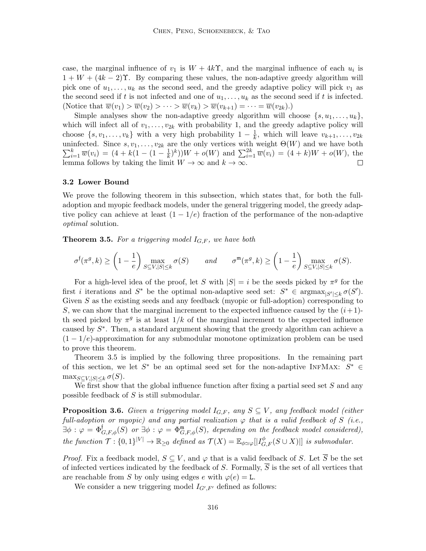case, the marginal influence of  $v_1$  is  $W + 4k\Upsilon$ , and the marginal influence of each  $u_i$  is  $1 + W + (4k - 2)$ . By comparing these values, the non-adaptive greedy algorithm will pick one of  $u_1, \ldots, u_k$  as the second seed, and the greedy adaptive policy will pick  $v_1$  as the second seed if t is not infected and one of  $u_1, \ldots, u_k$  as the second seed if t is infected. (Notice that  $\overline{w}(v_1) > \overline{w}(v_2) > \cdots > \overline{w}(v_k) > \overline{w}(v_{k+1}) = \cdots = \overline{w}(v_{2k}).$ )

Simple analyses show the non-adaptive greedy algorithm will choose  $\{s, u_1, \ldots, u_k\}$ , which will infect all of  $v_1, \ldots, v_{2k}$  with probability 1, and the greedy adaptive policy will choose  $\{s, v_1, \ldots, v_k\}$  with a very high probability  $1 - \frac{1}{k}$  $\frac{1}{k}$ , which will leave  $v_{k+1}, \ldots, v_{2k}$ uninfected. Since  $s, v_1, \ldots, v_{2k}$  are the only vertices with weight  $\Theta(W)$  and we have both  $\sum_{i=1}^{k} \overline{w}(v_i) = (4 + k(1 - (1 - \frac{1}{k}))$  $(\frac{1}{k})^k$ )) $W + o(W)$  and  $\sum_{i=1}^{2k} \overline{w}(v_i) = (4 + k)W + o(W)$ , the lemma follows by taking the limit  $W \to \infty$  and  $k \to \infty$ .  $\Box$ 

#### 3.2 Lower Bound

We prove the following theorem in this subsection, which states that, for both the fulladoption and myopic feedback models, under the general triggering model, the greedy adaptive policy can achieve at least  $(1 - 1/e)$  fraction of the performance of the non-adaptive optimal solution.

**Theorem 3.5.** For a triggering model  $I_{G,F}$ , we have both

$$
\sigma^{\mathfrak{f}}(\pi^g, k) \ge \left(1 - \frac{1}{e}\right) \max_{S \subseteq V, |S| \le k} \sigma(S) \qquad and \qquad \sigma^{\mathfrak{m}}(\pi^g, k) \ge \left(1 - \frac{1}{e}\right) \max_{S \subseteq V, |S| \le k} \sigma(S).
$$

For a high-level idea of the proof, let S with  $|S| = i$  be the seeds picked by  $\pi^g$  for the first *i* iterations and  $S^*$  be the optimal non-adaptive seed set:  $S^* \in \text{argmax}_{|S'| \leq k} \sigma(S')$ . Given S as the existing seeds and any feedback (myopic or full-adoption) corresponding to S, we can show that the marginal increment to the expected influence caused by the  $(i+1)$ th seed picked by  $\pi^g$  is at least  $1/k$  of the marginal increment to the expected influence caused by  $S^*$ . Then, a standard argument showing that the greedy algorithm can achieve a  $(1 - 1/e)$ -approximation for any submodular monotone optimization problem can be used to prove this theorem.

Theorem 3.5 is implied by the following three propositions. In the remaining part of this section, we let  $S^*$  be an optimal seed set for the non-adaptive INFMAX:  $S^* \in$  $\max_{S \subseteq V, |S| \leq k} \sigma(S).$ 

We first show that the global influence function after fixing a partial seed set  $S$  and any possible feedback of S is still submodular.

**Proposition 3.6.** Given a triggering model  $I_{G,F}$ , any  $S \subseteq V$ , any feedback model (either full-adoption or myopic) and any partial realization  $\varphi$  that is a valid feedback of S (i.e.,  $\exists \phi : \varphi = \Phi_{G,F,\phi}^{\dagger}(S)$  or  $\exists \phi : \varphi = \Phi_{G,F,\phi}^{\mathfrak{m}}(S)$ , depending on the feedback model considered), the function  $\mathcal{T}: \{0,1\}^{|V|} \to \mathbb{R}_{\geq 0}$  defined as  $\mathcal{T}(X) = \mathbb{E}_{\phi \simeq \varphi}[|I_{G,F}^{\phi}(S \cup X)|]$  is submodular.

*Proof.* Fix a feedback model,  $S \subseteq V$ , and  $\varphi$  that is a valid feedback of S. Let  $\overline{S}$  be the set of infected vertices indicated by the feedback of S. Formally,  $\overline{S}$  is the set of all vertices that are reachable from S by only using edges e with  $\varphi(e) = L$ .

We consider a new triggering model  $I_{G',F'}$  defined as follows: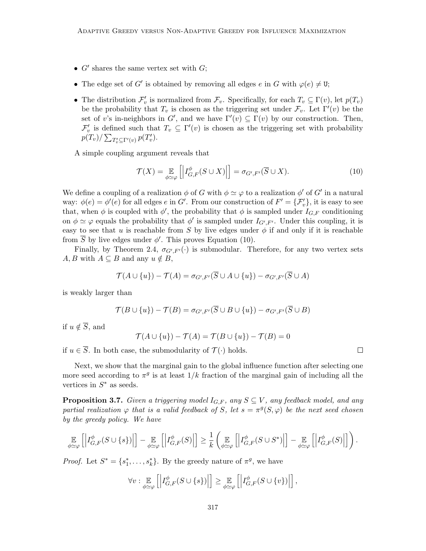- $G'$  shares the same vertex set with  $G$ ;
- The edge set of G' is obtained by removing all edges e in G with  $\varphi(e) \neq U$ ;
- The distribution  $\mathcal{F}'_v$  is normalized from  $\mathcal{F}_v$ . Specifically, for each  $T_v \subseteq \Gamma(v)$ , let  $p(T_v)$ be the probability that  $T_v$  is chosen as the triggering set under  $\mathcal{F}_v$ . Let  $\Gamma'(v)$  be the set of v's in-neighbors in G', and we have  $\Gamma'(v) \subseteq \Gamma(v)$  by our construction. Then,  $\mathcal{F}'_v$  is defined such that  $T_v \subseteq \Gamma'(v)$  is chosen as the triggering set with probability  $p(T_v) / \sum_{T'_v \subseteq \Gamma'(v)} p(T'_v).$

A simple coupling argument reveals that

$$
\mathcal{T}(X) = \mathop{\mathbb{E}}_{\phi \simeq \varphi} \left[ \left| I_{G,F}^{\phi}(S \cup X) \right| \right] = \sigma_{G',F'}(\overline{S} \cup X). \tag{10}
$$

We define a coupling of a realization  $\phi$  of G with  $\phi \simeq \varphi$  to a realization  $\phi'$  of G' in a natural way:  $\phi(e) = \phi'(e)$  for all edges e in G'. From our construction of  $F' = {\mathcal{F}'_v}$ , it is easy to see that, when  $\phi$  is coupled with  $\phi'$ , the probability that  $\phi$  is sampled under  $I_{G,F}$  conditioning on  $\phi \simeq \varphi$  equals the probability that  $\phi'$  is sampled under  $I_{G',F'}$ . Under this coupling, it is easy to see that u is reachable from S by live edges under  $\phi$  if and only if it is reachable from  $\overline{S}$  by live edges under  $\phi'$ . This proves Equation (10).

Finally, by Theorem 2.4,  $\sigma_{G',F'}(\cdot)$  is submodular. Therefore, for any two vertex sets  $A, B$  with  $A \subseteq B$  and any  $u \notin B$ ,

$$
\mathcal{T}(A \cup \{u\}) - \mathcal{T}(A) = \sigma_{G',F'}(\overline{S} \cup A \cup \{u\}) - \sigma_{G',F'}(\overline{S} \cup A)
$$

is weakly larger than

$$
\mathcal{T}(B \cup \{u\}) - \mathcal{T}(B) = \sigma_{G',F'}(\overline{S} \cup B \cup \{u\}) - \sigma_{G',F'}(\overline{S} \cup B)
$$

if  $u \notin \overline{S}$ , and

$$
\mathcal{T}(A \cup \{u\}) - \mathcal{T}(A) = \mathcal{T}(B \cup \{u\}) - \mathcal{T}(B) = 0
$$

if  $u \in \overline{S}$ . In both case, the submodularity of  $\mathcal{T}(\cdot)$  holds.

Next, we show that the marginal gain to the global influence function after selecting one more seed according to  $\pi^g$  is at least  $1/k$  fraction of the marginal gain of including all the vertices in  $S^*$  as seeds.

**Proposition 3.7.** Given a triggering model  $I_{G,F}$ , any  $S \subseteq V$ , any feedback model, and any partial realization  $\varphi$  that is a valid feedback of S, let  $s = \pi^{g}(S, \varphi)$  be the next seed chosen by the greedy policy. We have

$$
\mathop{\mathbb{E}}_{\phi\simeq\varphi}\left[\left|I_{G,F}^{\phi}(S\cup\{s\})\right|\right]-\mathop{\mathbb{E}}_{\phi\simeq\varphi}\left[\left|I_{G,F}^{\phi}(S)\right|\right]\geq\frac{1}{k}\left(\mathop{\mathbb{E}}_{\phi\simeq\varphi}\left[\left|I_{G,F}^{\phi}(S\cup S^*)\right|\right]-\mathop{\mathbb{E}}_{\phi\simeq\varphi}\left[\left|I_{G,F}^{\phi}(S)\right|\right]\right).
$$

*Proof.* Let  $S^* = \{s_1^*, \ldots, s_k^*\}$ . By the greedy nature of  $\pi^g$ , we have

$$
\forall v : \mathop{\mathbb{E}}_{\phi \simeq \varphi} \left[ \left| I_{G,F}^{\phi}(S \cup \{s\}) \right| \right] \geq \mathop{\mathbb{E}}_{\phi \simeq \varphi} \left[ \left| I_{G,F}^{\phi}(S \cup \{v\}) \right| \right],
$$

 $\Box$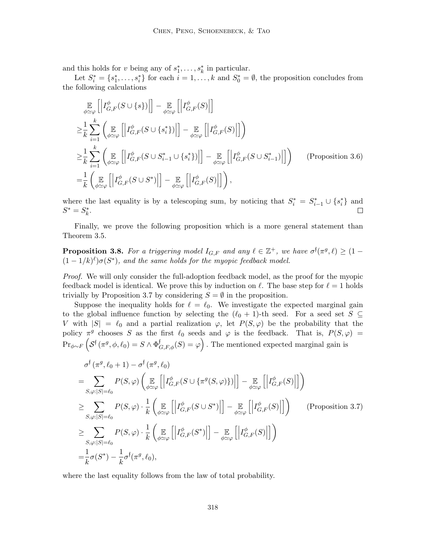and this holds for v being any of  $s_1^*, \ldots, s_k^*$  in particular.

Let  $S_i^* = \{s_1^*, \ldots, s_i^*\}$  for each  $i = 1, \ldots, k$  and  $S_0^* = \emptyset$ , the proposition concludes from the following calculations

$$
\mathbb{E}_{\phi \simeq \varphi} \left[ \left| I_{G,F}^{\phi}(S \cup \{s\}) \right| \right] - \mathbb{E}_{\phi \simeq \varphi} \left[ \left| I_{G,F}^{\phi}(S) \right| \right]
$$
\n
$$
\geq \frac{1}{k} \sum_{i=1}^{k} \left( \mathbb{E}_{\phi \simeq \varphi} \left[ \left| I_{G,F}^{\phi}(S \cup \{s_{i}^{*}\}) \right| \right] - \mathbb{E}_{\phi \simeq \varphi} \left[ \left| I_{G,F}^{\phi}(S) \right| \right] \right)
$$
\n
$$
\geq \frac{1}{k} \sum_{i=1}^{k} \left( \mathbb{E}_{\phi \simeq \varphi} \left[ \left| I_{G,F}^{\phi}(S \cup S_{i-1}^{*} \cup \{s_{i}^{*}\}) \right| \right] - \mathbb{E}_{\phi \simeq \varphi} \left[ \left| I_{G,F}^{\phi}(S \cup S_{i-1}^{*}) \right| \right] \right) \qquad \text{(Proposition 3.6)}
$$
\n
$$
= \frac{1}{k} \left( \mathbb{E}_{\phi \simeq \varphi} \left[ \left| I_{G,F}^{\phi}(S \cup S^{*}) \right| \right] - \mathbb{E}_{\phi \simeq \varphi} \left[ \left| I_{G,F}^{\phi}(S) \right| \right] \right),
$$

where the last equality is by a telescoping sum, by noticing that  $S_i^* = S_{i-1}^* \cup \{s_i^*\}\$  and  $S^* = S_k^*$ .  $\Box$ 

Finally, we prove the following proposition which is a more general statement than Theorem 3.5.

**Proposition 3.8.** For a triggering model  $I_{G,F}$  and any  $\ell \in \mathbb{Z}^+$ , we have  $\sigma^{\dagger}(\pi^g, \ell) \geq (1 - \ell)$  $(1-1/k)^{\ell} \sigma(S^*)$ , and the same holds for the myopic feedback model.

Proof. We will only consider the full-adoption feedback model, as the proof for the myopic feedback model is identical. We prove this by induction on  $\ell$ . The base step for  $\ell = 1$  holds trivially by Proposition 3.7 by considering  $S = \emptyset$  in the proposition.

Suppose the inequality holds for  $\ell = \ell_0$ . We investigate the expected marginal gain to the global influence function by selecting the  $(\ell_0 + 1)$ -th seed. For a seed set  $S \subseteq$ V with  $|S| = \ell_0$  and a partial realization  $\varphi$ , let  $P(S, \varphi)$  be the probability that the policy  $\pi^g$  chooses S as the first  $\ell_0$  seeds and  $\varphi$  is the feedback. That is,  $P(S, \varphi)$  =  $\Pr_{\phi \sim F} \left( \mathcal{S}^{\mathfrak{f}} \left( \pi^{g}, \phi, \ell_{0} \right) = S \wedge \Phi_{G, F, \phi}^{\mathfrak{f}}(S) = \varphi \right)$ . The mentioned expected marginal gain is

$$
\sigma^{\dagger}(\pi^{g}, \ell_{0}+1) - \sigma^{\dagger}(\pi^{g}, \ell_{0})
$$
\n
$$
= \sum_{S, \varphi:|S|=\ell_{0}} P(S, \varphi) \left( \mathop{\mathbb{E}}_{\phi\simeq\varphi} \left[ \left| I_{G,F}^{\phi}(S \cup \{\pi^{g}(S,\varphi)\}) \right| \right] - \mathop{\mathbb{E}}_{\phi\simeq\varphi} \left[ \left| I_{G,F}^{\phi}(S) \right| \right] \right)
$$
\n
$$
\geq \sum_{S, \varphi:|S|=\ell_{0}} P(S, \varphi) \cdot \frac{1}{k} \left( \mathop{\mathbb{E}}_{\phi\simeq\varphi} \left[ \left| I_{G,F}^{\phi}(S \cup S^{*}) \right| \right] - \mathop{\mathbb{E}}_{\phi\simeq\varphi} \left[ \left| I_{G,F}^{\phi}(S) \right| \right] \right) \qquad \text{(Proposition 3.7)}
$$
\n
$$
\geq \sum_{S, \varphi:|S|=\ell_{0}} P(S, \varphi) \cdot \frac{1}{k} \left( \mathop{\mathbb{E}}_{\phi\simeq\varphi} \left[ \left| I_{G,F}^{\phi}(S^{*}) \right| \right] - \mathop{\mathbb{E}}_{\phi\simeq\varphi} \left[ \left| I_{G,F}^{\phi}(S) \right| \right] \right)
$$
\n
$$
= \frac{1}{k} \sigma(S^{*}) - \frac{1}{k} \sigma^{\dagger}(\pi^{g}, \ell_{0}),
$$

where the last equality follows from the law of total probability.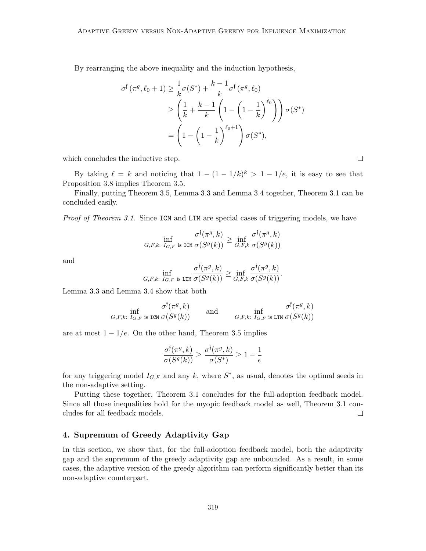By rearranging the above inequality and the induction hypothesis,

$$
\sigma^{\dagger}(\pi^g, \ell_0 + 1) \geq \frac{1}{k}\sigma(S^*) + \frac{k-1}{k}\sigma^{\dagger}(\pi^g, \ell_0)
$$
  
\n
$$
\geq \left(\frac{1}{k} + \frac{k-1}{k}\left(1 - \left(1 - \frac{1}{k}\right)^{\ell_0}\right)\right)\sigma(S^*)
$$
  
\n
$$
= \left(1 - \left(1 - \frac{1}{k}\right)^{\ell_0 + 1}\right)\sigma(S^*),
$$

which concludes the inductive step.

By taking  $\ell = k$  and noticing that  $1 - (1 - 1/k)^k > 1 - 1/e$ , it is easy to see that Proposition 3.8 implies Theorem 3.5.

Finally, putting Theorem 3.5, Lemma 3.3 and Lemma 3.4 together, Theorem 3.1 can be concluded easily.

Proof of Theorem 3.1. Since ICM and LTM are special cases of triggering models, we have

$$
\inf_{G,F,k: I_{G,F} \text{ is ICM}} \frac{\sigma^\mathfrak{f}(\pi^g,k)}{\sigma(S^g(k))} \geq \inf_{G,F,k} \frac{\sigma^\mathfrak{f}(\pi^g,k)}{\sigma(S^g(k))}
$$

and

$$
\inf_{G,F,k: I_{G,F} \text{ is LTM}} \frac{\sigma^\mathfrak{f}(\pi^g,k)}{\sigma(S^g(k))} \geq \inf_{G,F,k} \frac{\sigma^\mathfrak{f}(\pi^g,k)}{\sigma(S^g(k))}.
$$

Lemma 3.3 and Lemma 3.4 show that both

$$
\inf_{G,F,k:\ I_{G,F} \text{ is ICM}} \frac{\sigma^\mathfrak{f}(\pi^g,k)}{\sigma(S^g(k))} \qquad \text{and} \qquad \inf_{G,F,k:\ I_{G,F} \text{ is ITM}} \frac{\sigma^\mathfrak{f}(\pi^g,k)}{\sigma(S^g(k))}
$$

are at most  $1 - 1/e$ . On the other hand, Theorem 3.5 implies

$$
\frac{\sigma^{\mathfrak f}(\pi^g,k)}{\sigma(S^g(k))}\geq \frac{\sigma^{\mathfrak f}(\pi^g,k)}{\sigma(S^*)}\geq 1-\frac{1}{e}
$$

for any triggering model  $I_{G,F}$  and any k, where  $S^*$ , as usual, denotes the optimal seeds in the non-adaptive setting.

Putting these together, Theorem 3.1 concludes for the full-adoption feedback model. Since all those inequalities hold for the myopic feedback model as well, Theorem 3.1 concludes for all feedback models.  $\Box$ 

## 4. Supremum of Greedy Adaptivity Gap

In this section, we show that, for the full-adoption feedback model, both the adaptivity gap and the supremum of the greedy adaptivity gap are unbounded. As a result, in some cases, the adaptive version of the greedy algorithm can perform significantly better than its non-adaptive counterpart.

 $\Box$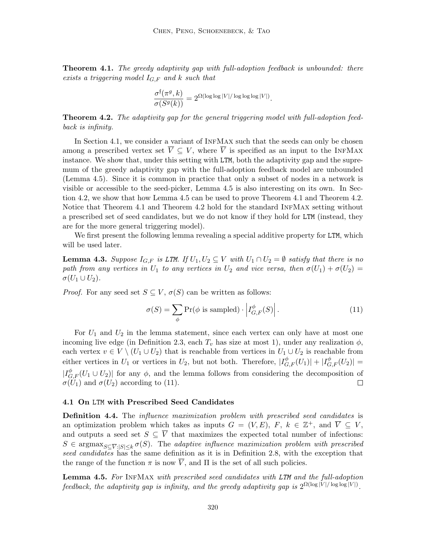**Theorem 4.1.** The greedy adaptivity gap with full-adoption feedback is unbounded: there exists a triggering model  $I_{G,F}$  and k such that

$$
\frac{\sigma^{\mathfrak{f}}(\pi^g, k)}{\sigma(S^g(k))} = 2^{\Omega(\log \log |V|/\log \log \log |V|)}.
$$

**Theorem 4.2.** The adaptivity gap for the general triggering model with full-adoption feedback is infinity.

In Section 4.1, we consider a variant of INFMAX such that the seeds can only be chosen among a prescribed vertex set  $\overline{V} \subseteq V$ , where  $\overline{V}$  is specified as an input to the INFMAX instance. We show that, under this setting with LTM, both the adaptivity gap and the supremum of the greedy adaptivity gap with the full-adoption feedback model are unbounded (Lemma 4.5). Since it is common in practice that only a subset of nodes in a network is visible or accessible to the seed-picker, Lemma 4.5 is also interesting on its own. In Section 4.2, we show that how Lemma 4.5 can be used to prove Theorem 4.1 and Theorem 4.2. Notice that Theorem 4.1 and Theorem 4.2 hold for the standard InfMax setting without a prescribed set of seed candidates, but we do not know if they hold for LTM (instead, they are for the more general triggering model).

We first present the following lemma revealing a special additive property for LTM, which will be used later.

**Lemma 4.3.** Suppose  $I_{G,F}$  is LTM. If  $U_1, U_2 \subseteq V$  with  $U_1 \cap U_2 = \emptyset$  satisfy that there is no path from any vertices in  $U_1$  to any vertices in  $U_2$  and vice versa, then  $\sigma(U_1) + \sigma(U_2) =$  $\sigma(U_1\cup U_2)$ .

*Proof.* For any seed set  $S \subseteq V$ ,  $\sigma(S)$  can be written as follows:

$$
\sigma(S) = \sum_{\phi} \Pr(\phi \text{ is sampled}) \cdot \left| I_{G,F}^{\phi}(S) \right|.
$$
 (11)

For  $U_1$  and  $U_2$  in the lemma statement, since each vertex can only have at most one incoming live edge (in Definition 2.3, each  $T_v$  has size at most 1), under any realization  $\phi$ , each vertex  $v \in V \setminus (U_1 \cup U_2)$  that is reachable from vertices in  $U_1 \cup U_2$  is reachable from either vertices in  $U_1$  or vertices in  $U_2$ , but not both. Therefore,  $|I_{G,F}^{\phi}(U_1)| + |I_{G,F}^{\phi}(U_2)| =$  $|I_{G,F}^{\phi}(U_1 \cup U_2)|$  for any  $\phi$ , and the lemma follows from considering the decomposition of  $\sigma(U_1)$  and  $\sigma(U_2)$  according to (11).

#### 4.1 On LTM with Prescribed Seed Candidates

**Definition 4.4.** The *influence maximization problem with prescribed seed candidates* is an optimization problem which takes as inputs  $G = (V, E)$ ,  $F, k \in \mathbb{Z}^+$ , and  $\overline{V} \subseteq V$ , and outputs a seed set  $S \subseteq \overline{V}$  that maximizes the expected total number of infections:  $S \in \text{argmax}_{S \subseteq \overline{V}:|S| \leq k} \sigma(S)$ . The adaptive influence maximization problem with prescribed seed candidates has the same definition as it is in Definition 2.8, with the exception that the range of the function  $\pi$  is now  $\overline{V}$ , and  $\Pi$  is the set of all such policies.

Lemma 4.5. For INFMAX with prescribed seed candidates with LTM and the full-adoption feedback, the adaptivity gap is infinity, and the greedy adaptivity gap is  $2^{\Omega(\log |V|/\log \log |V|)}$ .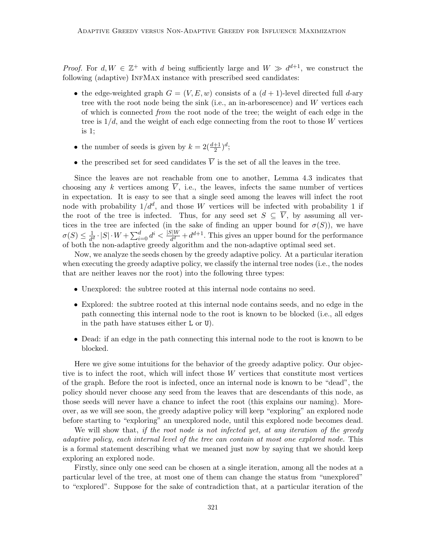*Proof.* For  $d, W \in \mathbb{Z}^+$  with d being sufficiently large and  $W \gg d^{d+1}$ , we construct the following (adaptive) INFMAX instance with prescribed seed candidates:

- the edge-weighted graph  $G = (V, E, w)$  consists of a  $(d + 1)$ -level directed full d-ary tree with the root node being the sink (i.e., an in-arborescence) and W vertices each of which is connected from the root node of the tree; the weight of each edge in the tree is  $1/d$ , and the weight of each edge connecting from the root to those W vertices is 1;
- the number of seeds is given by  $k = 2(\frac{d+1}{2})^d$ ;
- the prescribed set for seed candidates  $\overline{V}$  is the set of all the leaves in the tree.

Since the leaves are not reachable from one to another, Lemma 4.3 indicates that choosing any k vertices among  $\overline{V}$ , i.e., the leaves, infects the same number of vertices in expectation. It is easy to see that a single seed among the leaves will infect the root node with probability  $1/d^d$ , and those W vertices will be infected with probability 1 if the root of the tree is infected. Thus, for any seed set  $S \subseteq \overline{V}$ , by assuming all vertices in the tree are infected (in the sake of finding an upper bound for  $\sigma(S)$ ), we have  $\sigma(S) \leq \frac{1}{4c}$  $\frac{1}{d^d} \cdot |S| \cdot W + \sum_{i=0}^d d^i < \frac{|S|W}{d^d}$  $\frac{d^{d}}{d^{d}}+d^{d+1}$ . This gives an upper bound for the performance of both the non-adaptive greedy algorithm and the non-adaptive optimal seed set.

Now, we analyze the seeds chosen by the greedy adaptive policy. At a particular iteration when executing the greedy adaptive policy, we classify the internal tree nodes (i.e., the nodes that are neither leaves nor the root) into the following three types:

- Unexplored: the subtree rooted at this internal node contains no seed.
- Explored: the subtree rooted at this internal node contains seeds, and no edge in the path connecting this internal node to the root is known to be blocked (i.e., all edges in the path have statuses either L or U).
- Dead: if an edge in the path connecting this internal node to the root is known to be blocked.

Here we give some intuitions for the behavior of the greedy adaptive policy. Our objective is to infect the root, which will infect those  $W$  vertices that constitute most vertices of the graph. Before the root is infected, once an internal node is known to be "dead", the policy should never choose any seed from the leaves that are descendants of this node, as those seeds will never have a chance to infect the root (this explains our naming). Moreover, as we will see soon, the greedy adaptive policy will keep "exploring" an explored node before starting to "exploring" an unexplored node, until this explored node becomes dead.

We will show that, if the root node is not infected yet, at any iteration of the greedy adaptive policy, each internal level of the tree can contain at most one explored node. This is a formal statement describing what we meaned just now by saying that we should keep exploring an explored node.

Firstly, since only one seed can be chosen at a single iteration, among all the nodes at a particular level of the tree, at most one of them can change the status from "unexplored" to "explored". Suppose for the sake of contradiction that, at a particular iteration of the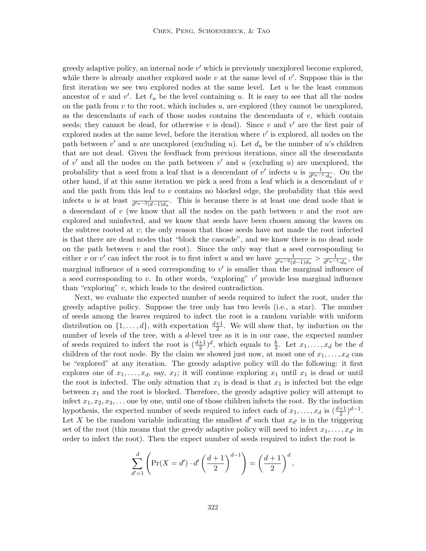greedy adaptive policy, an internal node  $v'$  which is previously unexplored become explored, while there is already another explored node  $v$  at the same level of  $v'$ . Suppose this is the first iteration we see two explored nodes at the same level. Let  $u$  be the least common ancestor of v and v'. Let  $\ell_u$  be the level containing u. It is easy to see that all the nodes on the path from  $v$  to the root, which includes  $u$ , are explored (they cannot be unexplored, as the descendants of each of those nodes contains the descendants of  $v$ , which contain seeds; they cannot be dead, for otherwise v is dead). Since v and  $v'$  are the first pair of explored nodes at the same level, before the iteration where  $v'$  is explored, all nodes on the path between  $v'$  and u are unexplored (excluding u). Let  $d_u$  be the number of u's children that are not dead. Given the feedback from previous iterations, since all the descendants of  $v'$  and all the nodes on the path between  $v'$  and u (excluding u) are unexplored, the probability that a seed from a leaf that is a descendant of v' infects u is  $\frac{1}{d^{\ell_u-1}\cdot d_u}$ . On the other hand, if at this same iteration we pick a seed from a leaf which is a descendant of  $v$ and the path from this leaf to  $v$  contains no blocked edge, the probability that this seed infects u is at least  $\frac{1}{d^{\ell_u-2}(d-1)d_u}$ . This is because there is at least one dead node that is a descendant of  $v$  (we know that all the nodes on the path between  $v$  and the root are explored and uninfected, and we know that seeds have been chosen among the leaves on the subtree rooted at  $v$ ; the only reason that those seeds have not made the root infected is that there are dead nodes that "block the cascade", and we know there is no dead node on the path between  $v$  and the root). Since the only way that a seed corresponding to either v or v' can infect the root is to first infect u and we have  $\frac{1}{d^{\ell_u-2}(d-1)d_u} > \frac{1}{d^{\ell_u-1}}$  $\frac{1}{d^{\ell_u-1}\cdot d_u}$ , the marginal influence of a seed corresponding to  $v'$  is smaller than the marginal influence of a seed corresponding to  $v$ . In other words, "exploring"  $v'$  provide less marginal influence than "exploring"  $v$ , which leads to the desired contradiction.

Next, we evaluate the expected number of seeds required to infect the root, under the greedy adaptive policy. Suppose the tree only has two levels (i.e., a star). The number of seeds among the leaves required to infect the root is a random variable with uniform distribution on  $\{1, \ldots, d\}$ , with expectation  $\frac{d+1}{2}$ . We will show that, by induction on the number of levels of the tree, with a d-level tree as it is in our case, the expected number of seeds required to infect the root is  $(\frac{d+1}{2})^d$ , which equals to  $\frac{k}{2}$ . Let  $x_1, \ldots, x_d$  be the d children of the root node. By the claim we showed just now, at most one of  $x_1, \ldots, x_d$  can be "explored" at any iteration. The greedy adaptive policy will do the following: it first explores one of  $x_1, \ldots, x_d$ , say,  $x_1$ ; it will continue exploring  $x_1$  until  $x_1$  is dead or until the root is infected. The only situation that  $x_1$  is dead is that  $x_1$  is infected but the edge between  $x_1$  and the root is blocked. Therefore, the greedy adaptive policy will attempt to infect  $x_1, x_2, x_3, \ldots$  one by one, until one of those children infects the root. By the induction hypothesis, the expected number of seeds required to infect each of  $x_1, \ldots, x_d$  is  $\left(\frac{d+1}{2}\right)^{d-1}$ . Let X be the random variable indicating the smallest d' such that  $x_{d'}$  is in the triggering set of the root (this means that the greedy adaptive policy will need to infect  $x_1, \ldots, x_{d'}$  in order to infect the root). Then the expect number of seeds required to infect the root is

$$
\sum_{d'=1}^d \left( \Pr(X = d') \cdot d' \left( \frac{d+1}{2} \right)^{d-1} \right) = \left( \frac{d+1}{2} \right)^d,
$$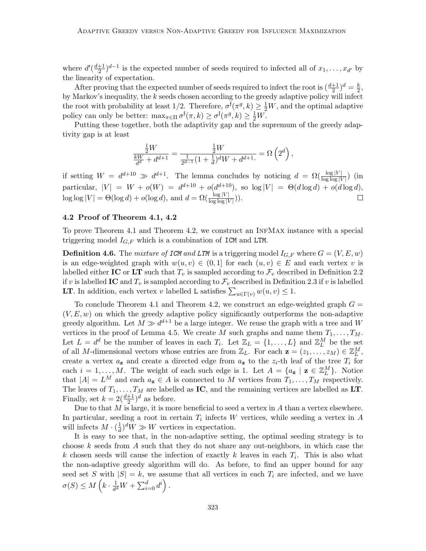where  $d'(\frac{d+1}{2})$  $\frac{+1}{2}$  $)^{d-1}$  is the expected number of seeds required to infected all of  $x_1, \ldots, x_{d'}$  by the linearity of expectation.

After proving that the expected number of seeds required to infect the root is  $(\frac{d+1}{2})^d = \frac{k}{2}$  $\frac{k}{2}$ by Markov's inequality, the  $k$  seeds chosen according to the greedy adaptive policy will infect the root with probability at least  $1/2$ . Therefore,  $\sigma^{\dagger}(\pi^g, k) \geq \frac{1}{2}W$ , and the optimal adaptive policy can only be better:  $\max_{\pi \in \Pi} \sigma^{\dagger}(\pi, k) \geq \sigma^{\dagger}(\pi^g, k) \geq \frac{1}{2}W$ .

Putting these together, both the adaptivity gap and the supremum of the greedy adaptivity gap is at least

$$
\frac{\frac{1}{2}W}{\frac{kW}{d^d} + d^{d+1}} = \frac{\frac{1}{2}W}{\frac{1}{2^{d-1}}(1 + \frac{1}{d})^d W + d^{d+1}} = \Omega\left(2^d\right),
$$

if setting  $W = d^{d+10} \gg d^{d+1}$ . The lemma concludes by noticing  $d = \Omega(\frac{\log |V|}{\log \log |V|})$  (in particular,  $|V| = W + o(W) = d^{d+10} + o(d^{d+10})$ , so  $\log|V| = \Theta(d \log d) + o(d \log d)$ ,  $\log \log |V| = \Theta(\log d) + o(\log d)$ , and  $d = \Omega(\frac{\log |V|}{\log \log |V|})$ .

## 4.2 Proof of Theorem 4.1, 4.2

To prove Theorem 4.1 and Theorem 4.2, we construct an InfMax instance with a special triggering model  $I_{G,F}$  which is a combination of ICM and LTM.

**Definition 4.6.** The mixture of ICM and LTM is a triggering model  $I_{G,F}$  where  $G = (V, E, w)$ is an edge-weighted graph with  $w(u, v) \in (0, 1]$  for each  $(u, v) \in E$  and each vertex v is labelled either IC or LT such that  $T_v$  is sampled according to  $\mathcal{F}_v$  described in Definition 2.2 if v is labelled IC and  $T_v$  is sampled according to  $\mathcal{F}_v$  described in Definition 2.3 if v is labelled **LT**. In addition, each vertex v labelled L satisfies  $\sum_{u \in \Gamma(v)} w(u, v) \leq 1$ .

To conclude Theorem 4.1 and Theorem 4.2, we construct an edge-weighted graph  $G =$  $(V, E, w)$  on which the greedy adaptive policy significantly outperforms the non-adaptive greedy algorithm. Let  $M \gg d^{d+1}$  be a large integer. We reuse the graph with a tree and W vertices in the proof of Lemma 4.5. We create M such graphs and name them  $T_1, \ldots, T_M$ . Let  $L = d^d$  be the number of leaves in each  $T_i$ . Let  $\mathbb{Z}_L = \{1, ..., L\}$  and  $\mathbb{Z}_L^M$  be the set of all M-dimensional vectors whose entries are from  $\mathbb{Z}_L$ . For each  $\mathbf{z} = (z_1, \ldots, z_M) \in \mathbb{Z}_L^M$ , create a vertex  $a_{\mathbf{z}}$  and create a directed edge from  $a_{\mathbf{z}}$  to the  $z_i$ -th leaf of the tree  $T_i$  for each  $i = 1, ..., M$ . The weight of each such edge is 1. Let  $A = \{a_{\mathbf{z}} \mid \mathbf{z} \in \mathbb{Z}_{L}^{M}\}\$ . Notice that  $|A| = L^M$  and each  $a_{\mathbf{z}} \in A$  is connected to M vertices from  $T_1, \ldots, T_M$  respectively. The leaves of  $T_1, \ldots, T_M$  are labelled as **IC**, and the remaining vertices are labelled as **LT**. Finally, set  $k = 2(\frac{d+1}{2})^d$  as before.

Due to that  $M$  is large, it is more beneficial to seed a vertex in  $A$  than a vertex elsewhere. In particular, seeding a root in certain  $T_i$  infects W vertices, while seeding a vertex in A will infects  $M \cdot (\frac{1}{d})$  $\frac{1}{d}$ ,  $\int dW \gg W$  vertices in expectation.

It is easy to see that, in the non-adaptive setting, the optimal seeding strategy is to choose k seeds from A such that they do not share any out-neighbors, in which case the k chosen seeds will cause the infection of exactly k leaves in each  $T_i$ . This is also what the non-adaptive greedy algorithm will do. As before, to find an upper bound for any seed set S with  $|S| = k$ , we assume that all vertices in each  $T_i$  are infected, and we have  $\sigma(S) \leq M\left(k \cdot \frac{1}{dS}\right)$  $\frac{1}{d^d}W+\sum_{i=0}^d d^i\bigg)$ .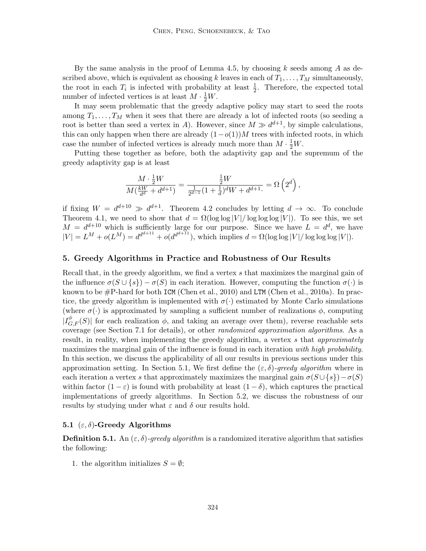By the same analysis in the proof of Lemma 4.5, by choosing  $k$  seeds among  $A$  as described above, which is equivalent as choosing k leaves in each of  $T_1, \ldots, T_M$  simultaneously, the root in each  $T_i$  is infected with probability at least  $\frac{1}{2}$ . Therefore, the expected total number of infected vertices is at least  $M \cdot \frac{1}{2}W$ .

It may seem problematic that the greedy adaptive policy may start to seed the roots among  $T_1, \ldots, T_M$  when it sees that there are already a lot of infected roots (so seeding a root is better than seed a vertex in A). However, since  $M \gg d^{d+1}$ , by simple calculations, this can only happen when there are already  $(1-o(1))M$  trees with infected roots, in which case the number of infected vertices is already much more than  $M \cdot \frac{1}{2}W$ .

Putting these together as before, both the adaptivity gap and the supremum of the greedy adaptivity gap is at least

$$
\frac{M \cdot \frac{1}{2}W}{M(\frac{kW}{d^d} + d^{d+1})} = \frac{\frac{1}{2}W}{\frac{1}{2^{d-1}}(1 + \frac{1}{d})^d W + d^{d+1}} = \Omega\left(2^d\right),
$$

if fixing  $W = d^{d+10} \gg d^{d+1}$ . Theorem 4.2 concludes by letting  $d \to \infty$ . To conclude Theorem 4.1, we need to show that  $d = \Omega(\log \log |V|/\log \log \log |V|)$ . To see this, we set  $M = d^{d+10}$  which is sufficiently large for our purpose. Since we have  $L = d^d$ , we have  $|V| = L^M + o(L^M) = d^{d^{d+1}+o}(d^{d^{d+1}+o}(I^{\text{odd}+1})$ , which implies  $d = \Omega(\log \log |V|/\log \log \log |V|)$ .

### 5. Greedy Algorithms in Practice and Robustness of Our Results

Recall that, in the greedy algorithm, we find a vertex s that maximizes the marginal gain of the influence  $\sigma(S \cup \{s\}) - \sigma(S)$  in each iteration. However, computing the function  $\sigma(\cdot)$  is known to be  $\#P$ -hard for both ICM (Chen et al., 2010) and LTM (Chen et al., 2010a). In practice, the greedy algorithm is implemented with  $\sigma(\cdot)$  estimated by Monte Carlo simulations (where  $\sigma(\cdot)$  is approximated by sampling a sufficient number of realizations  $\phi$ , computing  $|I_{G,F}^{\phi}(S)|$  for each realization  $\phi$ , and taking an average over them), reverse reachable sets coverage (see Section 7.1 for details), or other randomized approximation algorithms. As a result, in reality, when implementing the greedy algorithm, a vertex s that *approximately* maximizes the marginal gain of the influence is found in each iteration with high probability. In this section, we discuss the applicability of all our results in previous sections under this approximation setting. In Section 5.1, We first define the  $(\varepsilon, \delta)$ -greedy algorithm where in each iteration a vertex s that approximately maximizes the marginal gain  $\sigma(S \cup \{s\}) - \sigma(S)$ within factor  $(1 - \varepsilon)$  is found with probability at least  $(1 - \delta)$ , which captures the practical implementations of greedy algorithms. In Section 5.2, we discuss the robustness of our results by studying under what  $\varepsilon$  and  $\delta$  our results hold.

## 5.1  $(\varepsilon, \delta)$ -Greedy Algorithms

**Definition 5.1.** An  $(\varepsilon, \delta)$ -greedy algorithm is a randomized iterative algorithm that satisfies the following:

1. the algorithm initializes  $S = \emptyset$ ;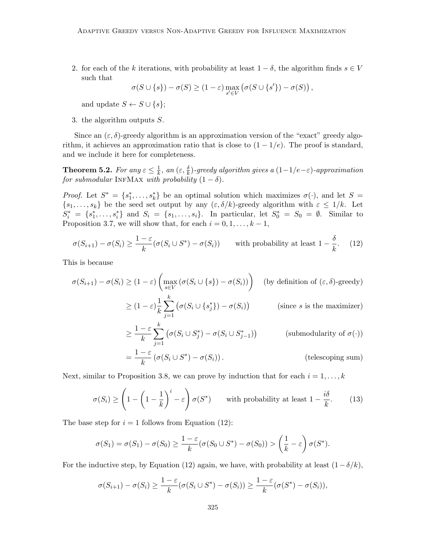2. for each of the k iterations, with probability at least  $1 - \delta$ , the algorithm finds  $s \in V$ such that

$$
\sigma(S \cup \{s\}) - \sigma(S) \ge (1 - \varepsilon) \max_{s' \in V} (\sigma(S \cup \{s'\}) - \sigma(S)),
$$

and update  $S \leftarrow S \cup \{s\};$ 

3. the algorithm outputs S.

Since an  $(\varepsilon, \delta)$ -greedy algorithm is an approximation version of the "exact" greedy algorithm, it achieves an approximation ratio that is close to  $(1 - 1/e)$ . The proof is standard, and we include it here for completeness.

**Theorem 5.2.** For any  $\varepsilon \leq \frac{1}{k}$  $\frac{1}{k},$  an  $(\varepsilon,\frac{\delta}{k})$ -greedy algorithm gives a  $(1\!-\!1/e\!-\!\varepsilon)$ -approximation for submodular INFMAX with probability  $(1 - \delta)$ .

*Proof.* Let  $S^* = \{s_1^*, \ldots, s_k^*\}$  be an optimal solution which maximizes  $\sigma(\cdot)$ , and let  $S =$  $\{s_1, \ldots, s_k\}$  be the seed set output by any  $(\varepsilon, \delta/k)$ -greedy algorithm with  $\varepsilon \leq 1/k$ . Let  $S_i^* = \{s_1^*, \ldots, s_i^*\}$  and  $S_i = \{s_1, \ldots, s_i\}$ . In particular, let  $S_0^* = S_0 = \emptyset$ . Similar to Proposition 3.7, we will show that, for each  $i = 0, 1, \ldots, k - 1$ ,

$$
\sigma(S_{i+1}) - \sigma(S_i) \ge \frac{1-\varepsilon}{k} (\sigma(S_i \cup S^*) - \sigma(S_i)) \quad \text{with probability at least } 1 - \frac{\delta}{k}.
$$
 (12)

This is because

$$
\sigma(S_{i+1}) - \sigma(S_i) \ge (1 - \varepsilon) \left( \max_{s \in V} (\sigma(S_i \cup \{s\}) - \sigma(S_i)) \right) \quad \text{(by definition of } (\varepsilon, \delta)\text{-greedy)}
$$
\n
$$
\ge (1 - \varepsilon) \frac{1}{k} \sum_{j=1}^k \left( \sigma(S_i \cup \{s_j^*\}) - \sigma(S_i) \right) \qquad \text{(since } s \text{ is the maximizer)}
$$
\n
$$
\ge \frac{1 - \varepsilon}{k} \sum_{j=1}^k \left( \sigma(S_i \cup S_j^*) - \sigma(S_i \cup S_{j-1}^*) \right) \qquad \text{(submodularity of } \sigma(\cdot))
$$

$$
= \frac{1-\varepsilon}{k} \left( \sigma(S_i \cup S^*) - \sigma(S_i) \right).
$$
 (telescoping sum)

Next, similar to Proposition 3.8, we can prove by induction that for each  $i = 1, \ldots, k$ 

$$
\sigma(S_i) \ge \left(1 - \left(1 - \frac{1}{k}\right)^i - \varepsilon\right) \sigma(S^*) \qquad \text{with probability at least } 1 - \frac{i\delta}{k}.\tag{13}
$$

The base step for  $i = 1$  follows from Equation (12):

$$
\sigma(S_1) = \sigma(S_1) - \sigma(S_0) \ge \frac{1-\varepsilon}{k} (\sigma(S_0 \cup S^*) - \sigma(S_0)) > \left(\frac{1}{k} - \varepsilon\right) \sigma(S^*).
$$

For the inductive step, by Equation (12) again, we have, with probability at least  $(1 - \delta/k)$ ,

$$
\sigma(S_{i+1}) - \sigma(S_i) \ge \frac{1-\varepsilon}{k} (\sigma(S_i \cup S^*) - \sigma(S_i)) \ge \frac{1-\varepsilon}{k} (\sigma(S^*) - \sigma(S_i)),
$$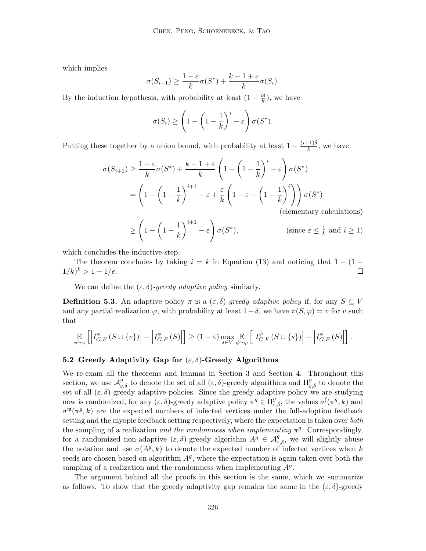which implies

$$
\sigma(S_{i+1}) \ge \frac{1-\varepsilon}{k}\sigma(S^*) + \frac{k-1+\varepsilon}{k}\sigma(S_i).
$$

By the induction hypothesis, with probability at least  $(1 - \frac{i\delta}{k})$  $\frac{\iota \delta}{k}$ ), we have

$$
\sigma(S_i) \ge \left(1 - \left(1 - \frac{1}{k}\right)^i - \varepsilon\right)\sigma(S^*).
$$

Putting these together by a union bound, with probability at least  $1 - \frac{(i+1)\delta}{k}$  $\frac{(-1)}{k}$ , we have

$$
\sigma(S_{i+1}) \ge \frac{1-\varepsilon}{k}\sigma(S^*) + \frac{k-1+\varepsilon}{k} \left(1 - \left(1 - \frac{1}{k}\right)^i - \varepsilon\right) \sigma(S^*)
$$
  
= 
$$
\left(1 - \left(1 - \frac{1}{k}\right)^{i+1} - \varepsilon + \frac{\varepsilon}{k} \left(1 - \varepsilon - \left(1 - \frac{1}{k}\right)^i\right)\right) \sigma(S^*)
$$
  
(elementary calculations)

$$
\geq \left(1 - \left(1 - \frac{1}{k}\right)^{i+1} - \varepsilon\right) \sigma(S^*), \qquad \text{(since } \varepsilon \leq \frac{1}{k} \text{ and } i \geq 1)
$$

which concludes the inductive step.

The theorem concludes by taking  $i = k$  in Equation (13) and noticing that  $1 - (1 1/k)^k > 1 - 1/e.$  $\Box$ 

We can define the  $(\varepsilon, \delta)$ -greedy adaptive policy similarly.

**Definition 5.3.** An adaptive policy  $\pi$  is a  $(\varepsilon, \delta)$ -greedy adaptive policy if, for any  $S \subseteq V$ and any partial realization  $\varphi$ , with probability at least  $1-\delta$ , we have  $\pi(S, \varphi) = v$  for v such that

$$
\mathop{\mathbb{E}}_{\phi\simeq\varphi}\left[\left|I_{G,F}^{\phi}\left(S\cup\{v\}\right)\right|-\left|I_{G,F}^{\phi}\left(S\right)\right|\right]\geq(1-\varepsilon)\max_{s\in V}\mathop{\mathbb{E}}_{\phi\simeq\varphi}\left[\left|I_{G,F}^{\phi}\left(S\cup\{s\}\right)\right|-\left|I_{G,F}^{\phi}\left(S\right)\right|\right].
$$

## 5.2 Greedy Adaptivity Gap for  $(\varepsilon, \delta)$ -Greedy Algorithms

We re-exam all the theorems and lemmas in Section 3 and Section 4. Throughout this section, we use  $\mathcal{A}^g_{\varepsilon,\delta}$  to denote the set of all  $(\varepsilon,\delta)$ -greedy algorithms and  $\Pi^g_{\varepsilon,\delta}$  to denote the set of all  $(\varepsilon, \delta)$ -greedy adaptive policies. Since the greedy adaptive policy we are studying now is randomized, for any  $(\varepsilon, \delta)$ -greedy adaptive policy  $\pi^g \in \Pi_{\varepsilon,\delta}^g$ , the values  $\sigma^{\dagger}(\pi^g, k)$  and  $\sigma^{\mathfrak{m}}(\pi^g, k)$  are the expected numbers of infected vertices under the full-adoption feedback setting and the myopic feedback setting respectively, where the expectation is taken over both the sampling of a realization *and the randomness when implementing*  $\pi^g$ . Correspondingly, for a randomized non-adaptive  $(\varepsilon, \delta)$ -greedy algorithm  $A^g \in \mathcal{A}_{\varepsilon,\delta}^g$ , we will slightly abuse the notation and use  $\sigma(A^g, k)$  to denote the expected number of infected vertices when k seeds are chosen based on algorithm  $A<sup>g</sup>$ , where the expectation is again taken over both the sampling of a realization and the randomness when implementing  $A<sup>g</sup>$ .

The argument behind all the proofs in this section is the same, which we summarize as follows. To show that the greedy adaptivity gap remains the same in the  $(\varepsilon, \delta)$ -greedy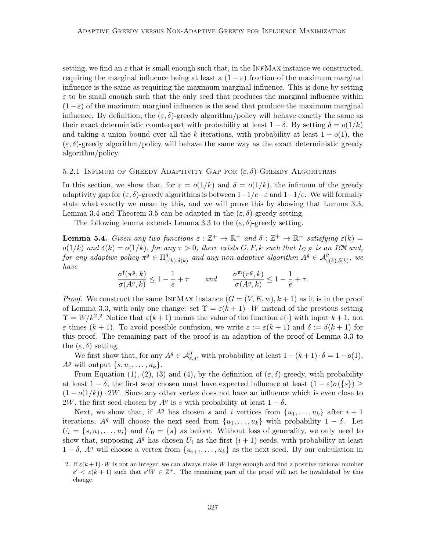setting, we find an  $\varepsilon$  that is small enough such that, in the INFMAX instance we constructed, requiring the marginal influence being at least a  $(1 - \varepsilon)$  fraction of the maximum marginal influence is the same as requiring the maximum marginal influence. This is done by setting  $\varepsilon$  to be small enough such that the only seed that produces the marginal influence within  $(1-\varepsilon)$  of the maximum marginal influence is the seed that produce the maximum marginal influence. By definition, the  $(\varepsilon, \delta)$ -greedy algorithm/policy will behave exactly the same as their exact deterministic counterpart with probability at least  $1 - \delta$ . By setting  $\delta = o(1/k)$ and taking a union bound over all the k iterations, with probability at least  $1 - o(1)$ , the  $(\varepsilon, \delta)$ -greedy algorithm/policy will behave the same way as the exact deterministic greedy algorithm/policy.

### 5.2.1 INFIMUM OF GREEDY ADAPTIVITY GAP FOR  $(\varepsilon, \delta)$ -GREEDY ALGORITHMS

In this section, we show that, for  $\varepsilon = o(1/k)$  and  $\delta = o(1/k)$ , the infimum of the greedy adaptivity gap for  $(\varepsilon, \delta)$ -greedy algorithms is between  $1-1/e-\varepsilon$  and  $1-1/e$ . We will formally state what exactly we mean by this, and we will prove this by showing that Lemma 3.3, Lemma 3.4 and Theorem 3.5 can be adapted in the  $(\varepsilon, \delta)$ -greedy setting.

The following lemma extends Lemma 3.3 to the  $(\varepsilon, \delta)$ -greedy setting.

**Lemma 5.4.** Given any two functions  $\varepsilon : \mathbb{Z}^+ \to \mathbb{R}^+$  and  $\delta : \mathbb{Z}^+ \to \mathbb{R}^+$  satisfying  $\varepsilon(k) =$  $o(1/k)$  and  $\delta(k) = o(1/k)$ , for any  $\tau > 0$ , there exists  $G, F, k$  such that  $I_{G,F}$  is an ICM and, for any adaptive policy  $\pi^g \in \Pi^g_\varepsilon$  $\mathcal{L}_{\varepsilon(k),\delta(k)}^{g}$  and any non-adaptive algorithm  $A^{g} \in \mathcal{A}_{\varepsilon(k),\delta(k)}^{g}$ , we have

$$
\frac{\sigma^{\mathfrak{f}}(\pi^g,k)}{\sigma(A^g,k)}\leq 1-\frac{1}{e}+\tau \qquad and \qquad \frac{\sigma^{\mathfrak{m}}(\pi^g,k)}{\sigma(A^g,k)}\leq 1-\frac{1}{e}+\tau.
$$

*Proof.* We construct the same INFMAX instance  $(G = (V, E, w), k + 1)$  as it is in the proof of Lemma 3.3, with only one change: set  $\Upsilon = \varepsilon(k+1) \cdot W$  instead of the previous setting  $\Upsilon = W/k^2$ <sup>2</sup> Notice that  $\varepsilon(k+1)$  means the value of the function  $\varepsilon(\cdot)$  with input  $k+1$ , not  $\varepsilon$  times  $(k + 1)$ . To avoid possible confusion, we write  $\varepsilon := \varepsilon(k + 1)$  and  $\delta := \delta(k + 1)$  for this proof. The remaining part of the proof is an adaption of the proof of Lemma 3.3 to the  $(\varepsilon, \delta)$  setting.

We first show that, for any  $A^g \in \mathcal{A}_{\varepsilon,\delta}^g$ , with probability at least  $1 - (k+1) \cdot \delta = 1 - o(1)$ ,  $A^g$  will output  $\{s, u_1, \ldots, u_k\}.$ 

From Equation (1), (2), (3) and (4), by the definition of  $(\varepsilon, \delta)$ -greedy, with probability at least  $1 - \delta$ , the first seed chosen must have expected influence at least  $(1 - \varepsilon)\sigma({s}) \ge$  $(1-o(1/k)) \cdot 2W$ . Since any other vertex does not have an influence which is even close to 2W, the first seed chosen by  $A^g$  is s with probability at least  $1 - \delta$ .

Next, we show that, if  $A^g$  has chosen s and i vertices from  $\{u_1, \ldots, u_k\}$  after  $i + 1$ iterations,  $A^g$  will choose the next seed from  $\{u_1, \ldots, u_k\}$  with probability  $1 - \delta$ . Let  $U_i = \{s, u_1, \ldots, u_i\}$  and  $U_0 = \{s\}$  as before. Without loss of generality, we only need to show that, supposing  $A^g$  has chosen  $U_i$  as the first  $(i + 1)$  seeds, with probability at least  $1 - \delta$ ,  $A^g$  will choose a vertex from  $\{u_{i+1}, \ldots, u_k\}$  as the next seed. By our calculation in

<sup>2.</sup> If  $\varepsilon(k+1) \cdot W$  is not an integer, we can always make W large enough and find a positive rational number  $\varepsilon' < \varepsilon (k+1)$  such that  $\varepsilon' W \in \mathbb{Z}^+$ . The remaining part of the proof will not be invalidated by this change.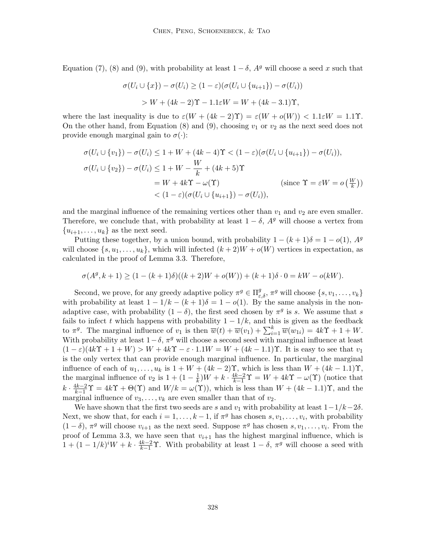Equation (7), (8) and (9), with probability at least  $1 - \delta$ ,  $A<sup>g</sup>$  will choose a seed x such that

$$
\sigma(U_i \cup \{x\}) - \sigma(U_i) \ge (1 - \varepsilon)(\sigma(U_i \cup \{u_{i+1}\}) - \sigma(U_i))
$$
  
> W + (4k - 2)Y - 1.1\varepsilon W = W + (4k - 3.1)Y,

where the last inequality is due to  $\varepsilon(W + (4k-2)\Upsilon) = \varepsilon(W + o(W)) < 1.1\varepsilon W = 1.1\Upsilon$ . On the other hand, from Equation (8) and (9), choosing  $v_1$  or  $v_2$  as the next seed does not provide enough marginal gain to  $\sigma(\cdot)$ :

$$
\sigma(U_i \cup \{v_1\}) - \sigma(U_i) \le 1 + W + (4k - 4)\Upsilon < (1 - \varepsilon)(\sigma(U_i \cup \{u_{i+1}\}) - \sigma(U_i)),
$$
\n
$$
\sigma(U_i \cup \{v_2\}) - \sigma(U_i) \le 1 + W - \frac{W}{k} + (4k + 5)\Upsilon
$$
\n
$$
= W + 4k\Upsilon - \omega(\Upsilon) \qquad \text{(since } \Upsilon = \varepsilon W = o\left(\frac{W}{k}\right))
$$
\n
$$
< (1 - \varepsilon)(\sigma(U_i \cup \{u_{i+1}\}) - \sigma(U_i)),
$$

and the marginal influence of the remaining vertices other than  $v_1$  and  $v_2$  are even smaller. Therefore, we conclude that, with probability at least  $1 - \delta$ ,  $A<sup>g</sup>$  will choose a vertex from  ${u_{i+1}, \ldots, u_k}$  as the next seed.

Putting these together, by a union bound, with probability  $1 - (k+1)\delta = 1 - o(1)$ ,  $A<sup>g</sup>$ will choose  $\{s, u_1, \ldots, u_k\}$ , which will infected  $(k+2)W + o(W)$  vertices in expectation, as calculated in the proof of Lemma 3.3. Therefore,

$$
\sigma(A^g, k+1) \ge (1 - (k+1)\delta)((k+2)W + o(W)) + (k+1)\delta \cdot 0 = kW - o(kW).
$$

Second, we prove, for any greedy adaptive policy  $\pi^g \in \Pi_{\varepsilon,\delta}^g$ ,  $\pi^g$  will choose  $\{s, v_1, \ldots, v_k\}$ with probability at least  $1 - 1/k - (k+1)\delta = 1 - o(1)$ . By the same analysis in the nonadaptive case, with probability  $(1 - \delta)$ , the first seed chosen by  $\pi^g$  is s. We assume that s fails to infect t which happens with probability  $1 - 1/k$ , and this is given as the feedback to  $\pi^g$ . The marginal influence of  $v_1$  is then  $\overline{w}(t) + \overline{w}(v_1) + \sum_{i=1}^k \overline{w}(w_{1i}) = 4k\Upsilon + 1 + W$ . With probability at least  $1-\delta$ ,  $\pi^g$  will choose a second seed with marginal influence at least  $(1 - \varepsilon)(4k\Upsilon + 1 + W) > W + 4k\Upsilon - \varepsilon \cdot 1.1W = W + (4k - 1.1)\Upsilon$ . It is easy to see that  $v_1$ is the only vertex that can provide enough marginal influence. In particular, the marginal influence of each of  $u_1, \ldots, u_k$  is  $1 + W + (4k - 2)$ , which is less than  $W + (4k - 1.1)$ , the marginal influence of  $v_2$  is  $1 + (1 - \frac{1}{k})$  $\frac{1}{k}$ ) $W + k \cdot \frac{4k-2}{k-1} \Upsilon = W + 4k \Upsilon - \omega(\Upsilon)$  (notice that  $k \cdot \frac{4k-2}{k-1}\Upsilon = 4k\Upsilon + \Theta(\Upsilon)$  and  $W/k = \omega(\Upsilon)$ , which is less than  $W + (4k - 1.1)\Upsilon$ , and the marginal influence of  $v_3, \ldots, v_k$  are even smaller than that of  $v_2$ .

We have shown that the first two seeds are s and  $v_1$  with probability at least  $1-1/k-2\delta$ . Next, we show that, for each  $i = 1, \ldots, k - 1$ , if  $\pi^g$  has chosen  $s, v_1, \ldots, v_i$ , with probability  $(1 - \delta)$ ,  $\pi^g$  will choose  $v_{i+1}$  as the next seed. Suppose  $\pi^g$  has chosen  $s, v_1, \ldots, v_i$ . From the proof of Lemma 3.3, we have seen that  $v_{i+1}$  has the highest marginal influence, which is  $1 + (1 - 1/k)^i W + k \cdot \frac{4k-2}{k-1} \Upsilon$ . With probability at least  $1 - \delta$ ,  $\pi^g$  will choose a seed with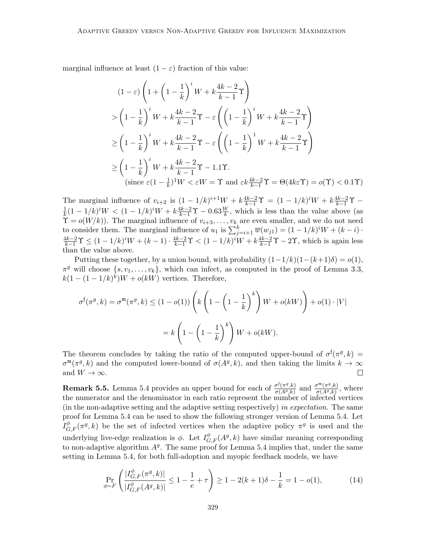marginal influence at least  $(1 - \varepsilon)$  fraction of this value:

$$
(1 - \varepsilon) \left( 1 + \left( 1 - \frac{1}{k} \right)^i W + k \frac{4k - 2}{k - 1} \Upsilon \right)
$$
  
> 
$$
\left( 1 - \frac{1}{k} \right)^i W + k \frac{4k - 2}{k - 1} \Upsilon - \varepsilon \left( \left( 1 - \frac{1}{k} \right)^i W + k \frac{4k - 2}{k - 1} \Upsilon \right)
$$
  

$$
\ge \left( 1 - \frac{1}{k} \right)^i W + k \frac{4k - 2}{k - 1} \Upsilon - \varepsilon \left( \left( 1 - \frac{1}{k} \right)^1 W + k \frac{4k - 2}{k - 1} \Upsilon \right)
$$
  

$$
\ge \left( 1 - \frac{1}{k} \right)^i W + k \frac{4k - 2}{k - 1} \Upsilon - 1.1 \Upsilon.
$$
  
(since  $\varepsilon (1 - \frac{1}{k})^1 W < \varepsilon W = \Upsilon$  and  $\varepsilon k \frac{4k - 2}{k - 1} \Upsilon = \Theta(4k\varepsilon \Upsilon) = o(\Upsilon) < 0.1 \Upsilon$ )

The marginal influence of  $v_{i+2}$  is  $(1 - 1/k)^{i+1}W + k\frac{4k-2}{k-1}\Upsilon = (1 - 1/k)^iW + k\frac{4k-2}{k-1}\Upsilon$ 1  $\frac{1}{k}(1-1/k)^i W < (1-1/k)^i W + k \frac{4k-2}{k-1} \Upsilon - 0.63 \frac{W}{k}$ , which is less than the value above (as  $\Upsilon = o(W/k)$ . The marginal influence of  $v_{i+3}, \ldots, v_k$  are even smaller, and we do not need to consider them. The marginal influence of  $u_1$  is  $\sum_{j=i+1}^{k} \overline{w}(w_{j1}) = (1 - 1/k)^i W + (k - i) \cdot$  $\frac{4k-2}{k-1}\Upsilon$  ≤  $(1-1/k)^iW + (k-1) \cdot \frac{4k-2}{k-1}\Upsilon$  ≤  $(1-1/k)^iW + k\frac{4k-2}{k-1}\Upsilon$  – 2 $\Upsilon$ , which is again less than the value above.

Putting these together, by a union bound, with probability  $(1-1/k)(1-(k+1)\delta) = o(1)$ ,  $\pi^g$  will choose  $\{s, v_1, \ldots, v_k\}$ , which can infect, as computed in the proof of Lemma 3.3,  $k(1-(1-1/k)^k)W + o(kW)$  vertices. Therefore,

$$
\sigma^{\mathfrak{f}}(\pi^{g},k) = \sigma^{\mathfrak{m}}(\pi^{g},k) \leq (1 - o(1)) \left( k \left( 1 - \left( 1 - \frac{1}{k} \right)^{k} \right) W + o(kW) \right) + o(1) \cdot |V|
$$

$$
= k \left( 1 - \left( 1 - \frac{1}{k} \right)^{k} \right) W + o(kW).
$$

The theorem concludes by taking the ratio of the computed upper-bound of  $\sigma^{\dagger}(\pi^g, k)$  =  $\sigma^{\mathfrak{m}}(\pi^g, k)$  and the computed lower-bound of  $\sigma(A^g, k)$ , and then taking the limits  $k \to \infty$ and  $W \to \infty$ .  $\Box$ 

**Remark 5.5.** Lemma 5.4 provides an upper bound for each of  $\frac{\sigma^{\{(\pi g_k)}\}}{\sigma(Ag_k)}$  $\frac{\sigma^{\dagger}(\pi^g,k)}{\sigma(A^g,k)}$  and  $\frac{\sigma^{\mathfrak{m}}(\pi^g,k)}{\sigma(A^g,k)}$  $\frac{\sigma^{\cdots}(\pi^{\sigma},\kappa)}{\sigma(A^g,k)},$  where the numerator and the denominator in each ratio represent the number of infected vertices (in the non-adaptive setting and the adaptive setting respectively) in expectation. The same proof for Lemma 5.4 can be used to show the following stronger version of Lemma 5.4. Let  $I_{G,F}^{\phi}(\pi^g, k)$  be the set of infected vertices when the adaptive policy  $\pi^g$  is used and the underlying live-edge realization is  $\phi$ . Let  $I_{G,F}^{\phi}(A^g, k)$  have similar meaning corresponding to non-adaptive algorithm  $A<sup>g</sup>$ . The same proof for Lemma 5.4 implies that, under the same setting in Lemma 5.4, for both full-adoption and myopic feedback models, we have

$$
\Pr_{\phi \sim F} \left( \frac{|I_{G,F}^{\phi}(\pi^g, k)|}{|I_{G,F}^{\phi}(A^g, k)|} \le 1 - \frac{1}{e} + \tau \right) \ge 1 - 2(k+1)\delta - \frac{1}{k} = 1 - o(1),\tag{14}
$$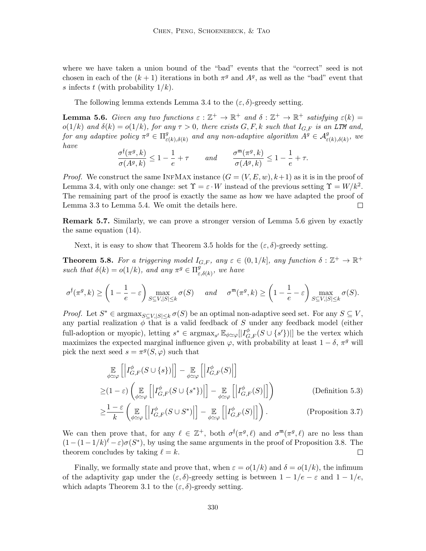where we have taken a union bound of the "bad" events that the "correct" seed is not chosen in each of the  $(k+1)$  iterations in both  $\pi^g$  and  $A^g$ , as well as the "bad" event that s infects t (with probability  $1/k$ ).

The following lemma extends Lemma 3.4 to the  $(\varepsilon, \delta)$ -greedy setting.

**Lemma 5.6.** Given any two functions  $\varepsilon : \mathbb{Z}^+ \to \mathbb{R}^+$  and  $\delta : \mathbb{Z}^+ \to \mathbb{R}^+$  satisfying  $\varepsilon(k) =$  $o(1/k)$  and  $\delta(k) = o(1/k)$ , for any  $\tau > 0$ , there exists  $G, F, k$  such that  $I_{G,F}$  is an LTM and, for any adaptive policy  $\pi^g \in \Pi^g_{\varepsilon}$  $\mathcal{L}_{\varepsilon(k),\delta(k)}^{g}$  and any non-adaptive algorithm  $A^{g} \in \mathcal{A}_{\varepsilon(k),\delta(k)}^{g}$ , we have

$$
\frac{\sigma^{\mathfrak{f}}(\pi^{g},k)}{\sigma(A^{g},k)} \leq 1 - \frac{1}{e} + \tau \qquad and \qquad \frac{\sigma^{\mathfrak{m}}(\pi^{g},k)}{\sigma(A^{g},k)} \leq 1 - \frac{1}{e} + \tau.
$$

*Proof.* We construct the same INFMAX instance  $(G = (V, E, w), k+1)$  as it is in the proof of Lemma 3.4, with only one change: set  $\Upsilon = \varepsilon \cdot W$  instead of the previous setting  $\Upsilon = W/k^2$ . The remaining part of the proof is exactly the same as how we have adapted the proof of Lemma 3.3 to Lemma 5.4. We omit the details here.  $\Box$ 

Remark 5.7. Similarly, we can prove a stronger version of Lemma 5.6 given by exactly the same equation (14).

Next, it is easy to show that Theorem 3.5 holds for the  $(\varepsilon, \delta)$ -greedy setting.

**Theorem 5.8.** For a triggering model  $I_{G,F}$ , any  $\varepsilon \in (0,1/k]$ , any function  $\delta : \mathbb{Z}^+ \to \mathbb{R}^+$ such that  $\delta(k) = o(1/k)$ , and any  $\pi^g \in \Pi_s^g$  $_{\varepsilon,\delta(k)}^g$ , we have

$$
\sigma^{\mathfrak{f}}(\pi^g, k) \ge \left(1 - \frac{1}{e} - \varepsilon \right) \max_{S \subseteq V, |S| \le k} \sigma(S) \quad \text{and} \quad \sigma^{\mathfrak{m}}(\pi^g, k) \ge \left(1 - \frac{1}{e} - \varepsilon \right) \max_{S \subseteq V, |S| \le k} \sigma(S).
$$

*Proof.* Let  $S^* \in \text{argmax}_{S \subseteq V, |S| \leq k} \sigma(S)$  be an optimal non-adaptive seed set. For any  $S \subseteq V$ , any partial realization  $\phi$  that is a valid feedback of S under any feedback model (either full-adoption or myopic), letting  $s^* \in \text{argmax}_{s'} \mathbb{E}_{\phi \simeq \varphi}[|I_{G,F}^{\phi}(S \cup \{s'\})|]$  be the vertex which maximizes the expected marginal influence given  $\varphi$ , with probability at least  $1 - \delta$ ,  $\pi^g$  will pick the next seed  $s = \pi^g(S, \varphi)$  such that

$$
\mathbb{E}_{\phi \simeq \varphi} \left[ \left| I_{G,F}^{\phi}(S \cup \{s\}) \right| \right] - \mathbb{E}_{\phi \simeq \varphi} \left[ \left| I_{G,F}^{\phi}(S) \right| \right]
$$
\n
$$
\geq (1 - \varepsilon) \left( \mathbb{E}_{\phi \simeq \varphi} \left[ \left| I_{G,F}^{\phi}(S \cup \{s^*\}) \right| \right] - \mathbb{E}_{\phi \simeq \varphi} \left[ \left| I_{G,F}^{\phi}(S) \right| \right] \right) \tag{Definition 5.3}
$$

$$
\geq \frac{1-\varepsilon}{k} \left( \mathop{\mathbb{E}}_{\phi \simeq \varphi} \left[ \left| I_{G,F}^{\phi}(S \cup S^*) \right| \right] - \mathop{\mathbb{E}}_{\phi \simeq \varphi} \left[ \left| I_{G,F}^{\phi}(S) \right| \right] \right). \tag{Proposition 3.7}
$$

We can then prove that, for any  $\ell \in \mathbb{Z}^+$ , both  $\sigma^{\dagger}(\pi^g, \ell)$  and  $\sigma^{\mathfrak{m}}(\pi^g, \ell)$  are no less than  $(1-(1-1/k)^{\ell}-\varepsilon)\sigma(S^*)$ , by using the same arguments in the proof of Proposition 3.8. The theorem concludes by taking  $\ell = k$ .  $\Box$ 

Finally, we formally state and prove that, when  $\varepsilon = o(1/k)$  and  $\delta = o(1/k)$ , the infimum of the adaptivity gap under the  $(\varepsilon, \delta)$ -greedy setting is between  $1 - 1/e - \varepsilon$  and  $1 - 1/e$ , which adapts Theorem 3.1 to the  $(\varepsilon, \delta)$ -greedy setting.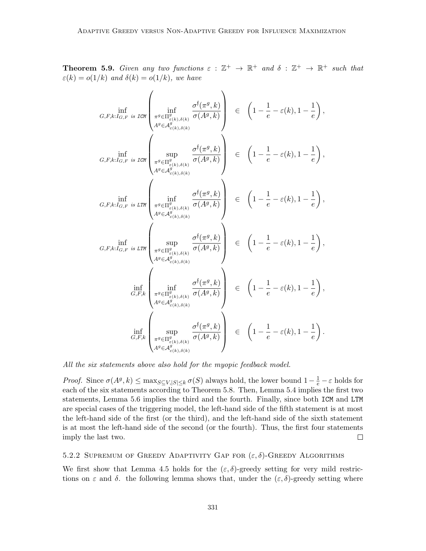**Theorem 5.9.** Given any two functions  $\varepsilon : \mathbb{Z}^+ \to \mathbb{R}^+$  and  $\delta : \mathbb{Z}^+ \to \mathbb{R}^+$  such that  $\varepsilon(k) = o(1/k)$  and  $\delta(k) = o(1/k)$ , we have

 $\overline{ }$ 

$$
G, F, k: I_{G, F} \text{ is LCM} \left( \inf_{\substack{\pi^g \in \Pi^g_{\epsilon(k), \delta(k)} \\ A^g \in \mathcal{A}^g_{\epsilon(k), \delta(k)}} \frac{\sigma^{\mathfrak{f}}(\pi^g, k)}{\sigma(A^g, k)} \right) \in \left( 1 - \frac{1}{e} - \varepsilon(k), 1 - \frac{1}{e} \right),
$$
\n
$$
G, F, k: I_{G, F} \text{ is LCM} \left( \sup_{\substack{\pi^g \in \Pi^g_{\epsilon(k), \delta(k)} \\ A^g \in \mathcal{A}^g_{\epsilon(k), \delta(k)}} \frac{\sigma^{\mathfrak{f}}(\pi^g, k)}{\sigma(A^g, k)} \right) \in \left( 1 - \frac{1}{e} - \varepsilon(k), 1 - \frac{1}{e} \right),
$$
\n
$$
G, F, k: I_{G, F} \text{ is LTM} \left( \inf_{\substack{\pi^g \in \Pi^g_{\epsilon(k), \delta(k)} \\ A^g \in \mathcal{A}^g_{\epsilon(k), \delta(k)}} \frac{\sigma^{\mathfrak{f}}(\pi^g, k)}{\sigma(A^g, k)} \right) \in \left( 1 - \frac{1}{e} - \varepsilon(k), 1 - \frac{1}{e} \right),
$$
\n
$$
G, F, k: I_{G, F} \text{ is LTM} \left( \sup_{\substack{\pi^g \in \Pi^g_{\epsilon(k), \delta(k)} \\ A^g \in \mathcal{A}^g_{\epsilon(k), \delta(k)}} \frac{\sigma^{\mathfrak{f}}(\pi^g, k)}{\sigma(A^g, k)} \right) \in \left( 1 - \frac{1}{e} - \varepsilon(k), 1 - \frac{1}{e} \right),
$$
\n
$$
\inf_{G, F, k} \left( \inf_{\substack{\pi^g \in \Pi^g_{\epsilon(k), \delta(k)} \\ A^g \in \mathcal{A}^g_{\epsilon(k), \delta(k)}} \frac{\sigma^{\mathfrak{f}}(\pi^g, k)}{\sigma(A^g, k)} \right) \in \left( 1 - \frac{1}{e} - \varepsilon(k), 1 - \frac{1}{e} \right),
$$
\n
$$
\inf_{G, F, k} \left( \sup_{\substack{\pi^g \in \Pi^g_{\epsilon(k), \delta(k)} \\ A^g \in \mathcal
$$

All the six statements above also hold for the myopic feedback model.

*Proof.* Since  $\sigma(A^g, k) \leq \max_{S \subseteq V, |S| \leq k} \sigma(S)$  always hold, the lower bound  $1 - \frac{1}{e} - \varepsilon$  holds for each of the six statements according to Theorem 5.8. Then, Lemma 5.4 implies the first two statements, Lemma 5.6 implies the third and the fourth. Finally, since both ICM and LTM are special cases of the triggering model, the left-hand side of the fifth statement is at most the left-hand side of the first (or the third), and the left-hand side of the sixth statement is at most the left-hand side of the second (or the fourth). Thus, the first four statements imply the last two.  $\Box$ 

## 5.2.2 SUPREMUM OF GREEDY ADAPTIVITY GAP FOR  $(\varepsilon, \delta)$ -GREEDY ALGORITHMS

We first show that Lemma 4.5 holds for the  $(\varepsilon, \delta)$ -greedy setting for very mild restrictions on  $\varepsilon$  and  $\delta$ . the following lemma shows that, under the  $(\varepsilon, \delta)$ -greedy setting where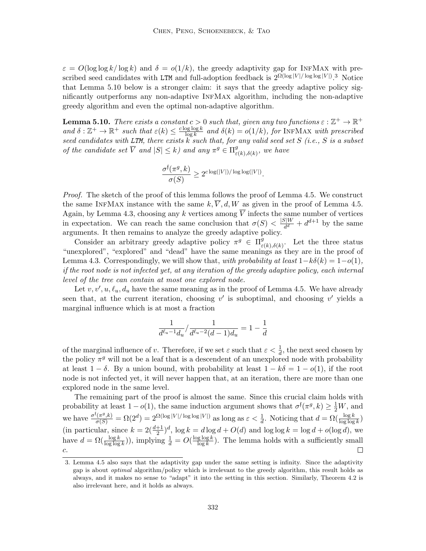$\varepsilon = O(\log \log k / \log k)$  and  $\delta = o(1/k)$ , the greedy adaptivity gap for INFMAX with prescribed seed candidates with LTM and full-adoption feedback is  $2^{\Omega(\log|V|/\log \log|V|)}$ .<sup>3</sup> Notice that Lemma 5.10 below is a stronger claim: it says that the greedy adaptive policy significantly outperforms any non-adaptive InfMax algorithm, including the non-adaptive greedy algorithm and even the optimal non-adaptive algorithm.

**Lemma 5.10.** There exists a constant  $c > 0$  such that, given any two functions  $\varepsilon : \mathbb{Z}^+ \to \mathbb{R}^+$ and  $\delta : \mathbb{Z}^+ \to \mathbb{R}^+$  such that  $\varepsilon(k) \leq \frac{c \log \log k}{\log k}$  $\frac{\log \log k}{\log k}$  and  $\delta(k) = o(1/k)$ , for INFMAX with prescribed seed candidates with LTM, there exists  $k$  such that, for any valid seed set  $S$  (i.e.,  $S$  is a subset of the candidate set  $\overline{V}$  and  $|S| \leq k$ ) and any  $\pi^g \in \Pi_s^g$  $_{\varepsilon(k),\delta(k)}^g$ , we have

$$
\frac{\sigma^{\mathfrak{f}}(\pi^g, k)}{\sigma(S)} \geq 2^{c \log(|V|)/\log \log(|V|)}.
$$

Proof. The sketch of the proof of this lemma follows the proof of Lemma 4.5. We construct the same INFMAX instance with the same  $k, \overline{V}, d, W$  as given in the proof of Lemma 4.5. Again, by Lemma 4.3, choosing any k vertices among  $\overline{V}$  infects the same number of vertices in expectation. We can reach the same conclusion that  $\sigma(S) < \frac{|S|W}{d^d}$  $\frac{d}{d}u}{dt} + d^{d+1}$  by the same arguments. It then remains to analyze the greedy adaptive policy.

Consider an arbitrary greedy adaptive policy  $\pi^g \in \Pi_s^{\overline{g}}$  $e_{\varepsilon(k),\delta(k)}^g$ . Let the three status "unexplored", "explored" and "dead" have the same meanings as they are in the proof of Lemma 4.3. Correspondingly, we will show that, with probability at least  $1-k\delta(k) = 1-o(1)$ , if the root node is not infected yet, at any iteration of the greedy adaptive policy, each internal level of the tree can contain at most one explored node.

Let  $v, v', u, \ell_u, d_u$  have the same meaning as in the proof of Lemma 4.5. We have already seen that, at the current iteration, choosing  $v'$  is suboptimal, and choosing  $v'$  yields a marginal influence which is at most a fraction

$$
\frac{1}{d^{\ell_u - 1} d_u} / \frac{1}{d^{\ell_u - 2} (d - 1) d_u} = 1 - \frac{1}{d}
$$

of the marginal influence of v. Therefore, if we set  $\varepsilon$  such that  $\varepsilon < \frac{1}{d}$ , the next seed chosen by the policy  $\pi^g$  will not be a leaf that is a descendent of an unexplored node with probability at least  $1 - \delta$ . By a union bound, with probability at least  $1 - k\delta = 1 - o(1)$ , if the root node is not infected yet, it will never happen that, at an iteration, there are more than one explored node in the same level.

The remaining part of the proof is almost the same. Since this crucial claim holds with probability at least  $1 - o(1)$ , the same induction argument shows that  $\sigma^{\dagger}(\pi^g, k) \geq \frac{1}{2}W$ , and we have  $\frac{\sigma^{\mathfrak{f}(\pi^g,k)}}{\sigma(S)} = \Omega(2^d) = 2^{\Omega(\log|V|/\log \log|V|)}$  as long as  $\varepsilon < \frac{1}{d}$ . Noticing that  $d = \Omega(\frac{\log k}{\log \log k})$ (in particular, since  $k = 2(\frac{d+1}{2})^d$ ,  $\log k = d \log d + O(d)$  and  $\log \log k = \log d + o(\log d)$ , we have  $d = \Omega(\frac{\log k}{\log \log k}))$ , implying  $\frac{1}{d} = O(\frac{\log \log k}{\log k})$  $\frac{\text{g} \log k}{\log k}$ ). The lemma holds with a sufficiently small c.

<sup>3.</sup> Lemma 4.5 also says that the adaptivity gap under the same setting is infinity. Since the adaptivity gap is about optimal algorithm/policy which is irrelevant to the greedy algorithm, this result holds as always, and it makes no sense to "adapt" it into the setting in this section. Similarly, Theorem 4.2 is also irrelevant here, and it holds as always.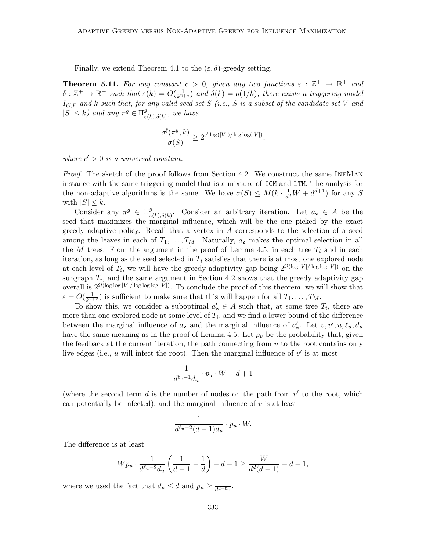Finally, we extend Theorem 4.1 to the  $(\varepsilon, \delta)$ -greedy setting.

**Theorem 5.11.** For any constant  $c > 0$ , given any two functions  $\varepsilon : \mathbb{Z}^+ \to \mathbb{R}^+$  and  $\delta : \mathbb{Z}^+ \to \mathbb{R}^+$  such that  $\varepsilon(k) = O(\frac{1}{k^2})$  $\frac{1}{k^{2+c}}$ ) and  $\delta(k) = o(1/k)$ , there exists a triggering model  $I_{G,F}$  and k such that, for any valid seed set S (i.e., S is a subset of the candidate set  $\overline{V}$  and  $|S| \leq k$ ) and any  $\pi^g \in \Pi^g_{\varepsilon}$  $_{\varepsilon(k),\delta(k)}^g$ , we have

$$
\frac{\sigma^{\mathfrak f}(\pi^g,k)}{\sigma(S)}\geq 2^{c'\log(|V|)/\log\log(|V|)},
$$

where  $c' > 0$  is a universal constant.

Proof. The sketch of the proof follows from Section 4.2. We construct the same INFMAX instance with the same triggering model that is a mixture of ICM and LTM. The analysis for the non-adaptive algorithms is the same. We have  $\sigma(S) \leq M(k \cdot \frac{1}{d(s)})$  $\frac{1}{d^d}W + d^{d+1}$  for any S with  $|S| \leq k$ .

Consider any  $\pi^g \in \Pi^g_\varepsilon$  $e^{g}_{\varepsilon(k),\delta(k)}$ . Consider an arbitrary iteration. Let  $a_{\mathbf{z}} \in A$  be the seed that maximizes the marginal influence, which will be the one picked by the exact greedy adaptive policy. Recall that a vertex in A corresponds to the selection of a seed among the leaves in each of  $T_1, \ldots, T_M$ . Naturally,  $a_{\mathbf{z}}$  makes the optimal selection in all the  $M$  trees. From the argument in the proof of Lemma 4.5, in each tree  $T_i$  and in each iteration, as long as the seed selected in  $T_i$  satisfies that there is at most one explored node at each level of  $T_i$ , we will have the greedy adaptivity gap being  $2^{\Omega(\log |V|/\log \log |V|)}$  on the subgraph  $T_i$ , and the same argument in Section 4.2 shows that the greedy adaptivity gap overall is  $2^{\Omega(\log \log |V|/\log \log \log |V|)}$ . To conclude the proof of this theorem, we will show that  $\varepsilon = O(\frac{1}{k^2+1})$  $\frac{1}{k^{2+c}}$  is sufficient to make sure that this will happen for all  $T_1, \ldots, T_M$ .

To show this, we consider a suboptimal  $a'_{\mathbf{z}} \in A$  such that, at some tree  $T_i$ , there are more than one explored node at some level of  $T_i$ , and we find a lower bound of the difference between the marginal influence of  $a_{\mathbf{z}}$  and the marginal influence of  $a'_{\mathbf{z}}$ . Let  $v, v', u, \ell_u, d_u$ have the same meaning as in the proof of Lemma 4.5. Let  $p_u$  be the probability that, given the feedback at the current iteration, the path connecting from  $u$  to the root contains only live edges (i.e.,  $u$  will infect the root). Then the marginal influence of  $v'$  is at most

$$
\frac{1}{d^{\ell_u-1}d_u} \cdot p_u \cdot W + d + 1
$$

(where the second term  $d$  is the number of nodes on the path from  $v'$  to the root, which can potentially be infected), and the marginal influence of  $v$  is at least

$$
\frac{1}{d^{\ell_u-2}(d-1)d_u} \cdot p_u \cdot W.
$$

The difference is at least

$$
W p_u \cdot \frac{1}{d^{\ell_u - 2} d_u} \left( \frac{1}{d - 1} - \frac{1}{d} \right) - d - 1 \ge \frac{W}{d^d (d - 1)} - d - 1,
$$

where we used the fact that  $d_u \leq d$  and  $p_u \geq \frac{1}{d^{d-1}}$  $\frac{1}{d^{d-\ell}u}$ .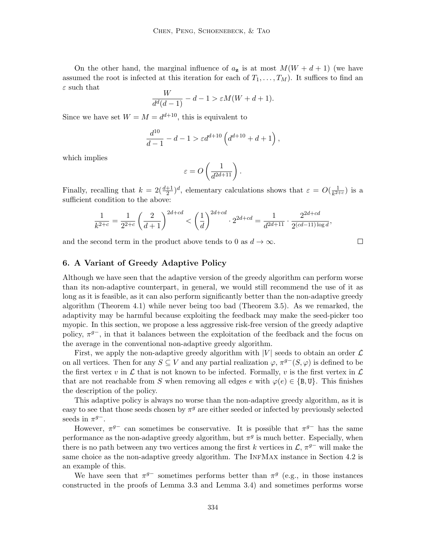On the other hand, the marginal influence of  $a_{\mathbf{z}}$  is at most  $M(W + d + 1)$  (we have assumed the root is infected at this iteration for each of  $T_1, \ldots, T_M$ ). It suffices to find an  $\varepsilon$  such that

$$
\frac{W}{d^d(d-1)} - d - 1 > \varepsilon M(W + d + 1).
$$

Since we have set  $W = M = d^{d+10}$ , this is equivalent to

$$
\frac{d^{10}}{d-1} - d - 1 > \varepsilon d^{d+10} \left( d^{d+10} + d + 1 \right),
$$

which implies

$$
\varepsilon = O\left(\frac{1}{d^{2d+11}}\right).
$$

Finally, recalling that  $k = 2(\frac{d+1}{2})^d$ , elementary calculations shows that  $\varepsilon = O(\frac{1}{k^{2d}})$  $\frac{1}{k^{2+c}}$ ) is a sufficient condition to the above:

$$
\frac{1}{k^{2+c}} = \frac{1}{2^{2+c}} \left(\frac{2}{d+1}\right)^{2d+cd} < \left(\frac{1}{d}\right)^{2d+cd} \cdot 2^{2d+cd} = \frac{1}{d^{2d+11}} \cdot \frac{2^{2d+cd}}{2^{(cd-11)\log d}},
$$

and the second term in the product above tends to 0 as  $d \to \infty$ .

## 6. A Variant of Greedy Adaptive Policy

Although we have seen that the adaptive version of the greedy algorithm can perform worse than its non-adaptive counterpart, in general, we would still recommend the use of it as long as it is feasible, as it can also perform significantly better than the non-adaptive greedy algorithm (Theorem 4.1) while never being too bad (Theorem 3.5). As we remarked, the adaptivity may be harmful because exploiting the feedback may make the seed-picker too myopic. In this section, we propose a less aggressive risk-free version of the greedy adaptive policy,  $\pi^{g-}$ , in that it balances between the exploitation of the feedback and the focus on the average in the conventional non-adaptive greedy algorithm.

First, we apply the non-adaptive greedy algorithm with  $|V|$  seeds to obtain an order  $\mathcal L$ on all vertices. Then for any  $S \subseteq V$  and any partial realization  $\varphi, \pi^{g-}(S, \varphi)$  is defined to be the first vertex v in  $\mathcal L$  that is not known to be infected. Formally, v is the first vertex in  $\mathcal L$ that are not reachable from S when removing all edges e with  $\varphi(e) \in \{B, U\}$ . This finishes the description of the policy.

This adaptive policy is always no worse than the non-adaptive greedy algorithm, as it is easy to see that those seeds chosen by  $\pi^g$  are either seeded or infected by previously selected seeds in  $\pi^{g-}$ .

However,  $\pi^{g-}$  can sometimes be conservative. It is possible that  $\pi^{g-}$  has the same performance as the non-adaptive greedy algorithm, but  $\pi^g$  is much better. Especially, when there is no path between any two vertices among the first k vertices in  $\mathcal{L}, \pi^{g-}$  will make the same choice as the non-adaptive greedy algorithm. The INFMAX instance in Section 4.2 is an example of this.

We have seen that  $\pi^{g-}$  sometimes performs better than  $\pi^g$  (e.g., in those instances constructed in the proofs of Lemma 3.3 and Lemma 3.4) and sometimes performs worse

 $\Box$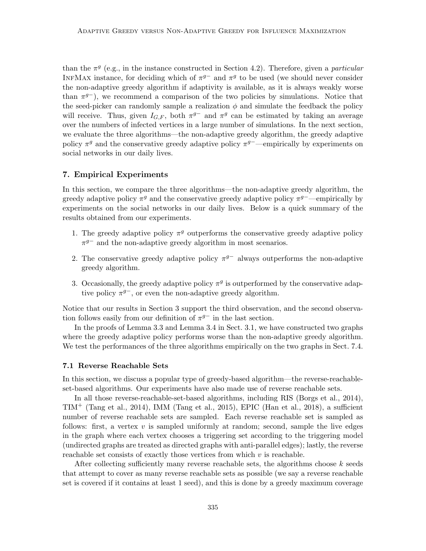than the  $\pi^g$  (e.g., in the instance constructed in Section 4.2). Therefore, given a *particular* INFMAX instance, for deciding which of  $\pi^{g-}$  and  $\pi^g$  to be used (we should never consider the non-adaptive greedy algorithm if adaptivity is available, as it is always weakly worse than  $\pi^{g}$ , we recommend a comparison of the two policies by simulations. Notice that the seed-picker can randomly sample a realization  $\phi$  and simulate the feedback the policy will receive. Thus, given  $I_{G,F}$ , both  $\pi^{g-}$  and  $\pi^g$  can be estimated by taking an average over the numbers of infected vertices in a large number of simulations. In the next section, we evaluate the three algorithms—the non-adaptive greedy algorithm, the greedy adaptive policy  $\pi^g$  and the conservative greedy adaptive policy  $\pi^{g-}$ —empirically by experiments on social networks in our daily lives.

## 7. Empirical Experiments

In this section, we compare the three algorithms—the non-adaptive greedy algorithm, the greedy adaptive policy  $\pi^g$  and the conservative greedy adaptive policy  $\pi^{g-}$ —empirically by experiments on the social networks in our daily lives. Below is a quick summary of the results obtained from our experiments.

- 1. The greedy adaptive policy  $\pi^g$  outperforms the conservative greedy adaptive policy  $\pi^{g-}$  and the non-adaptive greedy algorithm in most scenarios.
- 2. The conservative greedy adaptive policy  $\pi^{g-}$  always outperforms the non-adaptive greedy algorithm.
- 3. Occasionally, the greedy adaptive policy  $\pi^g$  is outperformed by the conservative adaptive policy  $\pi^{g-}$ , or even the non-adaptive greedy algorithm.

Notice that our results in Section 3 support the third observation, and the second observation follows easily from our definition of  $\pi^{g-}$  in the last section.

In the proofs of Lemma 3.3 and Lemma 3.4 in Sect. 3.1, we have constructed two graphs where the greedy adaptive policy performs worse than the non-adaptive greedy algorithm. We test the performances of the three algorithms empirically on the two graphs in Sect. 7.4.

#### 7.1 Reverse Reachable Sets

In this section, we discuss a popular type of greedy-based algorithm—the reverse-reachableset-based algorithms. Our experiments have also made use of reverse reachable sets.

In all those reverse-reachable-set-based algorithms, including RIS (Borgs et al., 2014),  $TIM<sup>+</sup>$  (Tang et al., 2014), IMM (Tang et al., 2015), EPIC (Han et al., 2018), a sufficient number of reverse reachable sets are sampled. Each reverse reachable set is sampled as follows: first, a vertex  $v$  is sampled uniformly at random; second, sample the live edges in the graph where each vertex chooses a triggering set according to the triggering model (undirected graphs are treated as directed graphs with anti-parallel edges); lastly, the reverse reachable set consists of exactly those vertices from which  $v$  is reachable.

After collecting sufficiently many reverse reachable sets, the algorithms choose  $k$  seeds that attempt to cover as many reverse reachable sets as possible (we say a reverse reachable set is covered if it contains at least 1 seed), and this is done by a greedy maximum coverage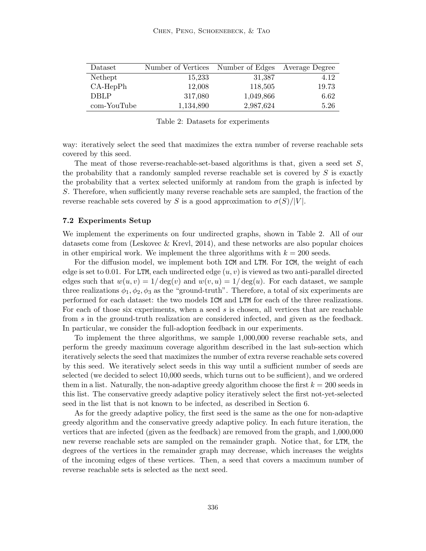| Dataset     | Number of Vertices | Number of Edges | Average Degree |
|-------------|--------------------|-----------------|----------------|
| Nethept     | 15,233             | 31,387          | 4.12           |
| $CA-HepPh$  | 12,008             | 118,505         | 19.73          |
| <b>DBLP</b> | 317,080            | 1,049,866       | 6.62           |
| com-YouTube | 1,134,890          | 2,987,624       | 5.26           |

Table 2: Datasets for experiments

way: iteratively select the seed that maximizes the extra number of reverse reachable sets covered by this seed.

The meat of those reverse-reachable-set-based algorithms is that, given a seed set  $S$ , the probability that a randomly sampled reverse reachable set is covered by  $S$  is exactly the probability that a vertex selected uniformly at random from the graph is infected by S. Therefore, when sufficiently many reverse reachable sets are sampled, the fraction of the reverse reachable sets covered by S is a good approximation to  $\sigma(S)/|V|$ .

#### 7.2 Experiments Setup

We implement the experiments on four undirected graphs, shown in Table 2. All of our datasets come from (Leskovec & Krevl, 2014), and these networks are also popular choices in other empirical work. We implement the three algorithms with  $k = 200$  seeds.

For the diffusion model, we implement both ICM and LTM. For ICM, the weight of each edge is set to 0.01. For LTM, each undirected edge  $(u, v)$  is viewed as two anti-parallel directed edges such that  $w(u, v) = 1/\deg(v)$  and  $w(v, u) = 1/\deg(u)$ . For each dataset, we sample three realizations  $\phi_1, \phi_2, \phi_3$  as the "ground-truth". Therefore, a total of six experiments are performed for each dataset: the two models ICM and LTM for each of the three realizations. For each of those six experiments, when a seed s is chosen, all vertices that are reachable from s in the ground-truth realization are considered infected, and given as the feedback. In particular, we consider the full-adoption feedback in our experiments.

To implement the three algorithms, we sample 1,000,000 reverse reachable sets, and perform the greedy maximum coverage algorithm described in the last sub-section which iteratively selects the seed that maximizes the number of extra reverse reachable sets covered by this seed. We iteratively select seeds in this way until a sufficient number of seeds are selected (we decided to select 10,000 seeds, which turns out to be sufficient), and we ordered them in a list. Naturally, the non-adaptive greedy algorithm choose the first  $k = 200$  seeds in this list. The conservative greedy adaptive policy iteratively select the first not-yet-selected seed in the list that is not known to be infected, as described in Section 6.

As for the greedy adaptive policy, the first seed is the same as the one for non-adaptive greedy algorithm and the conservative greedy adaptive policy. In each future iteration, the vertices that are infected (given as the feedback) are removed from the graph, and 1,000,000 new reverse reachable sets are sampled on the remainder graph. Notice that, for LTM, the degrees of the vertices in the remainder graph may decrease, which increases the weights of the incoming edges of these vertices. Then, a seed that covers a maximum number of reverse reachable sets is selected as the next seed.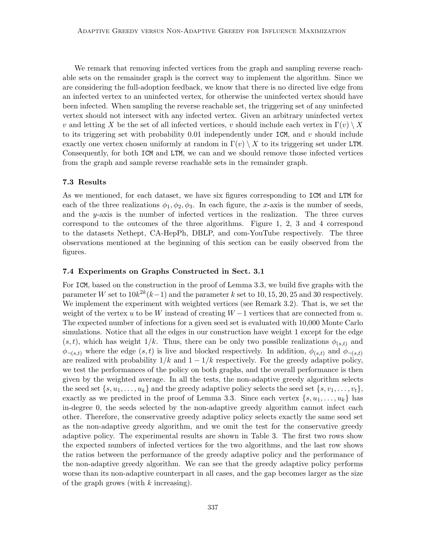We remark that removing infected vertices from the graph and sampling reverse reachable sets on the remainder graph is the correct way to implement the algorithm. Since we are considering the full-adoption feedback, we know that there is no directed live edge from an infected vertex to an uninfected vertex, for otherwise the uninfected vertex should have been infected. When sampling the reverse reachable set, the triggering set of any uninfected vertex should not intersect with any infected vertex. Given an arbitrary uninfected vertex v and letting X be the set of all infected vertices, v should include each vertex in  $\Gamma(v) \setminus X$ to its triggering set with probability  $0.01$  independently under ICM, and v should include exactly one vertex chosen uniformly at random in  $\Gamma(v) \setminus X$  to its triggering set under LTM. Consequently, for both ICM and LTM, we can and we should remove those infected vertices from the graph and sample reverse reachable sets in the remainder graph.

#### 7.3 Results

As we mentioned, for each dataset, we have six figures corresponding to ICM and LTM for each of the three realizations  $\phi_1, \phi_2, \phi_3$ . In each figure, the x-axis is the number of seeds, and the y-axis is the number of infected vertices in the realization. The three curves correspond to the outcomes of the three algorithms. Figure 1, 2, 3 and 4 correspond to the datasets Nethept, CA-HepPh, DBLP, and com-YouTube respectively. The three observations mentioned at the beginning of this section can be easily observed from the figures.

#### 7.4 Experiments on Graphs Constructed in Sect. 3.1

For ICM, based on the construction in the proof of Lemma 3.3, we build five graphs with the parameter W set to  $10k^{2k}(k-1)$  and the parameter k set to  $10, 15, 20, 25$  and 30 respectively. We implement the experiment with weighted vertices (see Remark 3.2). That is, we set the weight of the vertex u to be W instead of creating  $W-1$  vertices that are connected from u. The expected number of infections for a given seed set is evaluated with 10,000 Monte Carlo simulations. Notice that all the edges in our construction have weight 1 except for the edge  $(s, t)$ , which has weight 1/k. Thus, there can be only two possible realizations  $\phi_{(s,t)}$  and  $\phi_{\neg(s,t)}$  where the edge  $(s,t)$  is live and blocked respectively. In addition,  $\phi_{(s,t)}$  and  $\phi_{\neg(s,t)}$ are realized with probability  $1/k$  and  $1 - 1/k$  respectively. For the greedy adaptive policy, we test the performances of the policy on both graphs, and the overall performance is then given by the weighted average. In all the tests, the non-adaptive greedy algorithm selects the seed set  $\{s, u_1, \ldots, u_k\}$  and the greedy adaptive policy selects the seed set  $\{s, v_1, \ldots, v_t\},$ exactly as we predicted in the proof of Lemma 3.3. Since each vertex  $\{s, u_1, \ldots, u_k\}$  has in-degree 0, the seeds selected by the non-adaptive greedy algorithm cannot infect each other. Therefore, the conservative greedy adaptive policy selects exactly the same seed set as the non-adaptive greedy algorithm, and we omit the test for the conservative greedy adaptive policy. The experimental results are shown in Table 3. The first two rows show the expected numbers of infected vertices for the two algorithms, and the last row shows the ratios between the performance of the greedy adaptive policy and the performance of the non-adaptive greedy algorithm. We can see that the greedy adaptive policy performs worse than its non-adaptive counterpart in all cases, and the gap becomes larger as the size of the graph grows (with  $k$  increasing).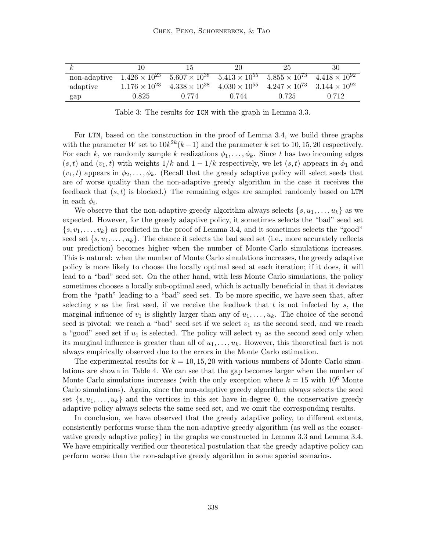| k,                                                                                                                              |                        | 15                     | 20    | 25                                                                   | 30    |
|---------------------------------------------------------------------------------------------------------------------------------|------------------------|------------------------|-------|----------------------------------------------------------------------|-------|
| non-adaptive $1.426 \times 10^{23}$ $5.607 \times 10^{38}$ $5.413 \times 10^{55}$ $5.855 \times 10^{73}$ $4.418 \times 10^{92}$ |                        |                        |       |                                                                      |       |
| adaptive                                                                                                                        | $1.176 \times 10^{23}$ | $4.338 \times 10^{38}$ |       | $4.030 \times 10^{55}$ $4.247 \times 10^{73}$ $3.144 \times 10^{92}$ |       |
| gap                                                                                                                             | 0.825                  | 0.774                  | 0.744 | 0.725                                                                | 0.712 |

Table 3: The results for ICM with the graph in Lemma 3.3.

For LTM, based on the construction in the proof of Lemma 3.4, we build three graphs with the parameter W set to  $10k^{2k}(k-1)$  and the parameter k set to 10, 15, 20 respectively. For each k, we randomly sample k realizations  $\phi_1, \ldots, \phi_k$ . Since t has two incoming edges  $(s, t)$  and  $(v_1, t)$  with weights  $1/k$  and  $1 - 1/k$  respectively, we let  $(s, t)$  appears in  $\phi_1$  and  $(v_1, t)$  appears in  $\phi_2, \ldots, \phi_k$ . (Recall that the greedy adaptive policy will select seeds that are of worse quality than the non-adaptive greedy algorithm in the case it receives the feedback that  $(s, t)$  is blocked.) The remaining edges are sampled randomly based on LTM in each  $\phi_i$ .

We observe that the non-adaptive greedy algorithm always selects  $\{s, u_1, \ldots, u_k\}$  as we expected. However, for the greedy adaptive policy, it sometimes selects the "bad" seed set  $\{s, v_1, \ldots, v_k\}$  as predicted in the proof of Lemma 3.4, and it sometimes selects the "good" seed set  $\{s, u_1, \ldots, u_k\}$ . The chance it selects the bad seed set (i.e., more accurately reflects our prediction) becomes higher when the number of Monte-Carlo simulations increases. This is natural: when the number of Monte Carlo simulations increases, the greedy adaptive policy is more likely to choose the locally optimal seed at each iteration; if it does, it will lead to a "bad" seed set. On the other hand, with less Monte Carlo simulations, the policy sometimes chooses a locally sub-optimal seed, which is actually beneficial in that it deviates from the "path" leading to a "bad" seed set. To be more specific, we have seen that, after selecting s as the first seed, if we receive the feedback that t is not infected by s, the marginal influence of  $v_1$  is slightly larger than any of  $u_1, \ldots, u_k$ . The choice of the second seed is pivotal: we reach a "bad" seed set if we select  $v_1$  as the second seed, and we reach a "good" seed set if  $u_1$  is selected. The policy will select  $v_1$  as the second seed only when its marginal influence is greater than all of  $u_1, \ldots, u_k$ . However, this theoretical fact is not always empirically observed due to the errors in the Monte Carlo estimation.

The experimental results for  $k = 10, 15, 20$  with various numbers of Monte Carlo simulations are shown in Table 4. We can see that the gap becomes larger when the number of Monte Carlo simulations increases (with the only exception where  $k = 15$  with  $10^6$  Monte Carlo simulations). Again, since the non-adaptive greedy algorithm always selects the seed set  $\{s, u_1, \ldots, u_k\}$  and the vertices in this set have in-degree 0, the conservative greedy adaptive policy always selects the same seed set, and we omit the corresponding results.

In conclusion, we have observed that the greedy adaptive policy, to different extents, consistently performs worse than the non-adaptive greedy algorithm (as well as the conservative greedy adaptive policy) in the graphs we constructed in Lemma 3.3 and Lemma 3.4. We have empirically verified our theoretical postulation that the greedy adaptive policy can perform worse than the non-adaptive greedy algorithm in some special scenarios.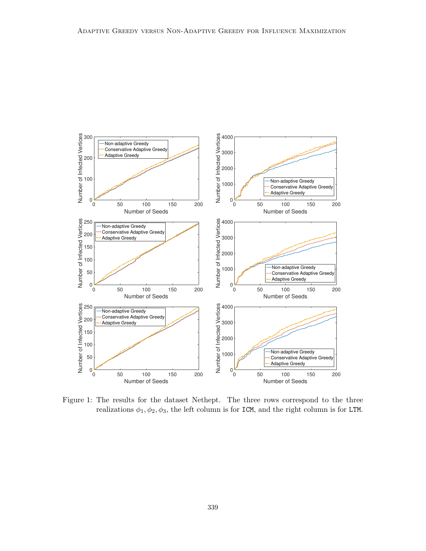

Figure 1: The results for the dataset Nethept. The three rows correspond to the three realizations  $\phi_1, \phi_2, \phi_3$ , the left column is for ICM, and the right column is for LTM.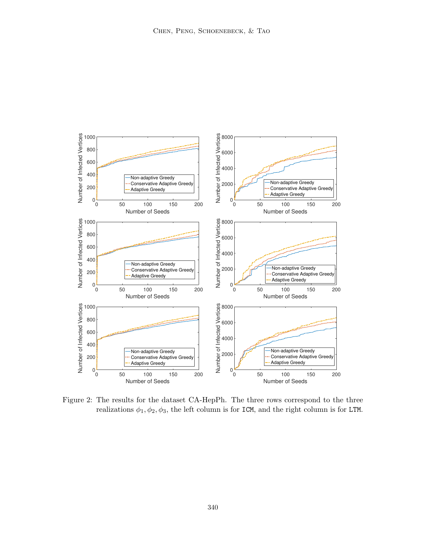

Figure 2: The results for the dataset CA-HepPh. The three rows correspond to the three realizations  $\phi_1, \phi_2, \phi_3$ , the left column is for ICM, and the right column is for LTM.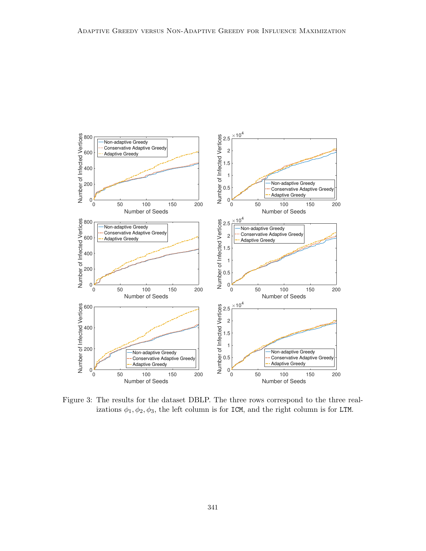

Figure 3: The results for the dataset DBLP. The three rows correspond to the three realizations  $\phi_1, \phi_2, \phi_3$ , the left column is for ICM, and the right column is for LTM.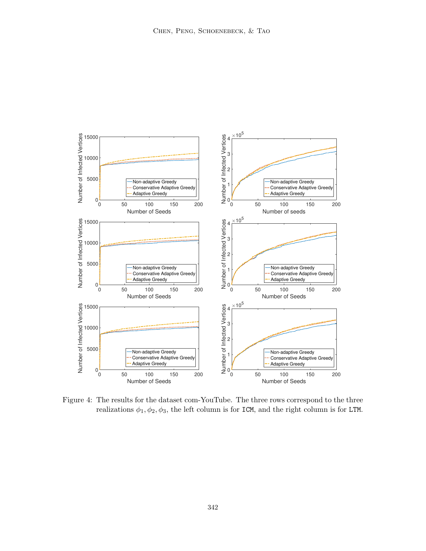

Figure 4: The results for the dataset com-YouTube. The three rows correspond to the three realizations  $\phi_1, \phi_2, \phi_3$ , the left column is for ICM, and the right column is for LTM.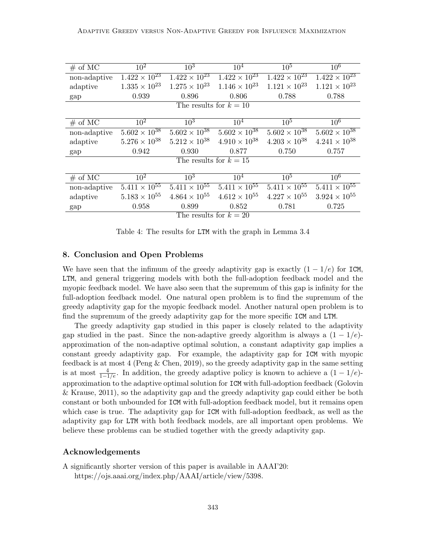| # of MC                  | 10 <sup>2</sup>        | 10 <sup>3</sup>                   | $10^{4}$               | 10 <sup>5</sup>        | 10 <sup>6</sup>        |
|--------------------------|------------------------|-----------------------------------|------------------------|------------------------|------------------------|
| non-adaptive             | $1.422 \times 10^{23}$ | $1.\overline{422 \times 10^{23}}$ | $1.422 \times 10^{23}$ | $1.422 \times 10^{23}$ | $1.422 \times 10^{23}$ |
| adaptive                 | $1.335 \times 10^{23}$ | $1.275 \times 10^{23}$            | $1.146 \times 10^{23}$ | $1.121 \times 10^{23}$ | $1.121 \times 10^{23}$ |
|                          |                        |                                   |                        |                        |                        |
| gap                      | 0.939                  | 0.896                             | 0.806                  | 0.788                  | 0.788                  |
|                          |                        | The results for $k = 10$          |                        |                        |                        |
|                          |                        |                                   |                        |                        |                        |
| # of MC                  | 10 <sup>2</sup>        | $10^3$                            | 10 <sup>4</sup>        | $10^5$                 | $10^6$                 |
| non-adaptive             | $5.602 \times 10^{38}$ | $5.602 \times 10^{38}$            | $5.602 \times 10^{38}$ | $5.602 \times 10^{38}$ | $5.602 \times 10^{38}$ |
| adaptive                 | $5.276 \times 10^{38}$ | $5.212 \times 10^{38}$            | $4.910 \times 10^{38}$ | $4.203 \times 10^{38}$ | $4.241 \times 10^{38}$ |
| gap                      | 0.942                  | 0.930                             | 0.877                  | 0.750                  | 0.757                  |
| The results for $k = 15$ |                        |                                   |                        |                        |                        |
|                          |                        |                                   |                        |                        |                        |
| # of MC                  | $10^{2}$               | $10^3$                            | 10 <sup>4</sup>        | $10^5$                 | $10^6$                 |
| non-adaptive             | $5.411 \times 10^{55}$ | $5.411 \times 10^{55}$            | $5.411 \times 10^{55}$ | $5.411 \times 10^{55}$ | $5.411 \times 10^{55}$ |
| adaptive                 | $5.183 \times 10^{55}$ | $4.864 \times 10^{55}$            | $4.612 \times 10^{55}$ | $4.227 \times 10^{55}$ | $3.924 \times 10^{55}$ |
| gap                      | 0.958                  | 0.899                             | 0.852                  | 0.781                  | 0.725                  |
| The results for $k = 20$ |                        |                                   |                        |                        |                        |

Table 4: The results for LTM with the graph in Lemma 3.4

## 8. Conclusion and Open Problems

We have seen that the infimum of the greedy adaptivity gap is exactly  $(1 - 1/e)$  for ICM, LTM, and general triggering models with both the full-adoption feedback model and the myopic feedback model. We have also seen that the supremum of this gap is infinity for the full-adoption feedback model. One natural open problem is to find the supremum of the greedy adaptivity gap for the myopic feedback model. Another natural open problem is to find the supremum of the greedy adaptivity gap for the more specific ICM and LTM.

The greedy adaptivity gap studied in this paper is closely related to the adaptivity gap studied in the past. Since the non-adaptive greedy algorithm is always a  $(1 - 1/e)$ approximation of the non-adaptive optimal solution, a constant adaptivity gap implies a constant greedy adaptivity gap. For example, the adaptivity gap for ICM with myopic feedback is at most 4 (Peng & Chen, 2019), so the greedy adaptivity gap in the same setting is at most  $\frac{4}{1-1/e}$ . In addition, the greedy adaptive policy is known to achieve a  $(1-1/e)$ approximation to the adaptive optimal solution for ICM with full-adoption feedback (Golovin & Krause, 2011), so the adaptivity gap and the greedy adaptivity gap could either be both constant or both unbounded for ICM with full-adoption feedback model, but it remains open which case is true. The adaptivity gap for ICM with full-adoption feedback, as well as the adaptivity gap for LTM with both feedback models, are all important open problems. We believe these problems can be studied together with the greedy adaptivity gap.

## Acknowledgements

A significantly shorter version of this paper is available in AAAI'20: https://ojs.aaai.org/index.php/AAAI/article/view/5398.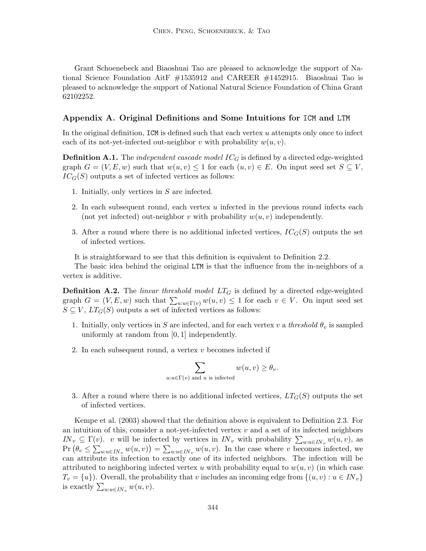Grant Schoenebeck and Biaoshuai Tao are pleased to acknowledge the support of National Science Foundation AitF #1535912 and CAREER #1452915. Biaoshuai Tao is pleased to acknowledge the support of National Natural Science Foundation of China Grant 62102252.

## Appendix A. Original Definitions and Some Intuitions for ICM and LTM

In the original definition,  $ICM$  is defined such that each vertex  $u$  attempts only once to infect each of its not-vet-infected out-neighbor v with probability  $w(u, v)$ .

**Definition A.1.** The *independent cascade model*  $IC_G$  is defined by a directed edge-weighted graph  $G = (V, E, w)$  such that  $w(u, v) \leq 1$  for each  $(u, v) \in E$ . On input seed set  $S \subseteq V$ ,  $IC_G(S)$  outputs a set of infected vertices as follows:

- 1. Initially, only vertices in S are infected.
- 2. In each subsequent round, each vertex u infected in the previous round infects each (not yet infected) out-neighbor v with probability  $w(u, v)$  independently.
- 3. After a round where there is no additional infected vertices,  $IC_G(S)$  outputs the set of infected vertices.

It is straightforward to see that this definition is equivalent to Definition 2.2.

The basic idea behind the original LTM is that the influence from the in-neighbors of a vertex is additive.

**Definition A.2.** The linear threshold model  $LT_G$  is defined by a directed edge-weighted graph  $G = (V, E, w)$  such that  $\sum_{u: u \in \Gamma(v)} w(u, v) \leq 1$  for each  $v \in V$ . On input seed set  $S \subseteq V$ ,  $LT_G(S)$  outputs a set of infected vertices as follows:

- 1. Initially, only vertices in S are infected, and for each vertex v a threshold  $\theta_v$  is sampled uniformly at random from [0, 1] independently.
- 2. In each subsequent round, a vertex v becomes infected if

$$
\sum_{u:u \in \Gamma(v) \text{ and } u \text{ is infected}} w(u,v) \ge \theta_v.
$$

3. After a round where there is no additional infected vertices,  $LT_G(S)$  outputs the set of infected vertices.

Kempe et al. (2003) showed that the definition above is equivalent to Definition 2.3. For an intuition of this, consider a not-yet-infected vertex  $v$  and a set of its infected neighbors  $IN_v \subseteq \Gamma(v)$ . v will be infected by vertices in  $IN_v$  with probability  $\sum_{u: u \in IN_v} w(u, v)$ , as  $Pr(\theta_v \leq \sum_{u:u \in IN_v} w(u,v)) = \sum_{u:u \in IN_v} w(u,v)$ . In the case where v becomes infected, we can attribute its infection to exactly one of its infected neighbors. The infection will be attributed to neighboring infected vertex u with probability equal to  $w(u, v)$  (in which case  $T_v = \{u\}$ . Overall, the probability that v includes an incoming edge from  $\{(u, v) : u \in IN_v\}$ is exactly  $\sum_{u:u\in IN_v} w(u,v)$ .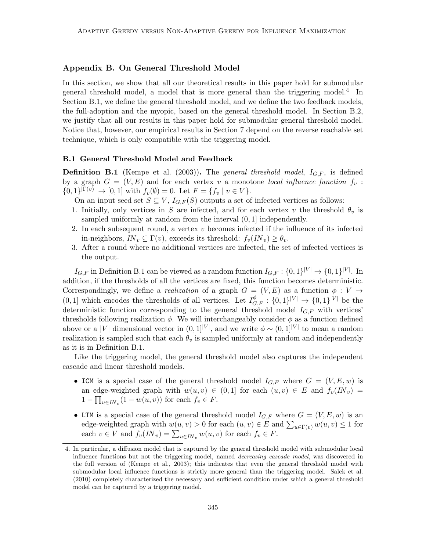## Appendix B. On General Threshold Model

In this section, we show that all our theoretical results in this paper hold for submodular general threshold model, a model that is more general than the triggering model.<sup>4</sup> In Section B.1, we define the general threshold model, and we define the two feedback models, the full-adoption and the myopic, based on the general threshold model. In Section B.2, we justify that all our results in this paper hold for submodular general threshold model. Notice that, however, our empirical results in Section 7 depend on the reverse reachable set technique, which is only compatible with the triggering model.

#### B.1 General Threshold Model and Feedback

**Definition B.1** (Kempe et al. (2003)). The *general threshold model*,  $I_{G,F}$ , is defined by a graph  $G = (V, E)$  and for each vertex v a monotone local influence function  $f_v$ :  $\{0,1\}^{|\Gamma(v)|} \to [0,1]$  with  $f_v(\emptyset) = 0$ . Let  $F = \{f_v \mid v \in V\}$ .

On an input seed set  $S \subseteq V$ ,  $I_{G,F}(S)$  outputs a set of infected vertices as follows:

- 1. Initially, only vertices in S are infected, and for each vertex v the threshold  $\theta_v$  is sampled uniformly at random from the interval (0, 1] independently.
- 2. In each subsequent round, a vertex  $v$  becomes infected if the influence of its infected in-neighbors,  $IN_v \subseteq \Gamma(v)$ , exceeds its threshold:  $f_v(IN_v) \geq \theta_v$ .
- 3. After a round where no additional vertices are infected, the set of infected vertices is the output.

 $I_{G,F}$  in Definition B.1 can be viewed as a random function  $I_{G,F}: \{0,1\}^{|V|} \to \{0,1\}^{|V|}$ . In addition, if the thresholds of all the vertices are fixed, this function becomes deterministic. Correspondingly, we define a *realization* of a graph  $G = (V, E)$  as a function  $\phi : V \to$  $(0, 1]$  which encodes the thresholds of all vertices. Let  $I_{G,F}^{\phi} : \{0,1\}^{|V|} \to \{0,1\}^{|V|}$  be the deterministic function corresponding to the general threshold model  $I_{G,F}$  with vertices' thresholds following realization  $\phi$ . We will interchangeably consider  $\phi$  as a function defined above or a |V| dimensional vector in  $(0,1)^{|V|}$ , and we write  $\phi \sim (0,1)^{|V|}$  to mean a random realization is sampled such that each  $\theta_v$  is sampled uniformly at random and independently as it is in Definition B.1.

Like the triggering model, the general threshold model also captures the independent cascade and linear threshold models.

- ICM is a special case of the general threshold model  $I_{G,F}$  where  $G = (V, E, w)$  is an edge-weighted graph with  $w(u, v) \in (0, 1]$  for each  $(u, v) \in E$  and  $f_v(N_v) =$  $1 - \prod_{u \in \mathit{IN}_v} (1 - w(u, v))$  for each  $f_v \in \mathit{F}$ .
- LTM is a special case of the general threshold model  $I_{G,F}$  where  $G = (V, E, w)$  is an edge-weighted graph with  $w(u, v) > 0$  for each  $(u, v) \in E$  and  $\sum_{u \in \Gamma(v)} w(u, v) \leq 1$  for each  $v \in V$  and  $f_v(IN_v) = \sum_{u \in IN_v} w(u, v)$  for each  $f_v \in F$ .

<sup>4.</sup> In particular, a diffusion model that is captured by the general threshold model with submodular local influence functions but not the triggering model, named decreasing cascade model, was discovered in the full version of (Kempe et al., 2003); this indicates that even the general threshold model with submodular local influence functions is strictly more general than the triggering model. Salek et al. (2010) completely characterized the necessary and sufficient condition under which a general threshold model can be captured by a triggering model.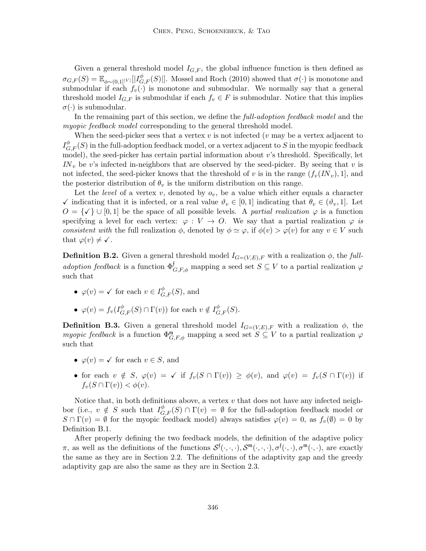Given a general threshold model  $I_{G,F}$ , the global influence function is then defined as  $\sigma_{G,F}(S) = \mathbb{E}_{\phi \sim (0,1]^{|V|}}[|I_{G,F}^{\phi}(S)|].$  Mossel and Roch (2010) showed that  $\sigma(\cdot)$  is monotone and submodular if each  $f_v(\cdot)$  is monotone and submodular. We normally say that a general threshold model  $I_{G,F}$  is submodular if each  $f_v \in F$  is submodular. Notice that this implies  $\sigma(\cdot)$  is submodular.

In the remaining part of this section, we define the full-adoption feedback model and the myopic feedback model corresponding to the general threshold model.

When the seed-picker sees that a vertex  $v$  is not infected ( $v$  may be a vertex adjacent to  $I_{G,F}^{\phi}(S)$  in the full-adoption feedback model, or a vertex adjacent to  $S$  in the myopic feedback model), the seed-picker has certain partial information about  $v$ 's threshold. Specifically, let  $IN<sub>v</sub>$  be v's infected in-neighbors that are observed by the seed-picker. By seeing that v is not infected, the seed-picker knows that the threshold of v is in the range  $(f_v(N_v), 1]$ , and the posterior distribution of  $\theta_v$  is the uniform distribution on this range.

Let the *level* of a vertex v, denoted by  $o_v$ , be a value which either equals a character  $\checkmark$  indicating that it is infected, or a real value  $\vartheta_v \in [0,1]$  indicating that  $\theta_v \in (\vartheta_v,1]$ . Let  $O = \{\checkmark\} \cup [0,1]$  be the space of all possible levels. A partial realization  $\varphi$  is a function specifying a level for each vertex:  $\varphi: V \to O$ . We say that a partial realization  $\varphi$  is consistent with the full realization  $\phi$ , denoted by  $\phi \simeq \varphi$ , if  $\phi(v) > \varphi(v)$  for any  $v \in V$  such that  $\varphi(v) \neq \checkmark$ .

**Definition B.2.** Given a general threshold model  $I_{G=(V,E),F}$  with a realization  $\phi$ , the fulladoption feedback is a function  $\Phi_{G,F,\phi}^{\dagger}$  mapping a seed set  $S \subseteq V$  to a partial realization  $\varphi$ such that

- $\varphi(v) = \checkmark$  for each  $v \in I_{G,F}^{\phi}(S)$ , and
- $\varphi(v) = f_v(I_{G,F}^{\phi}(S) \cap \Gamma(v))$  for each  $v \notin I_{G,F}^{\phi}(S)$ .

**Definition B.3.** Given a general threshold model  $I_{G=(V,E),F}$  with a realization  $\phi$ , the myopic feedback is a function  $\Phi_{G,F,\phi}^{\mathfrak{m}}$  mapping a seed set  $S \subseteq V$  to a partial realization  $\varphi$ such that

- $\varphi(v) = \checkmark$  for each  $v \in S$ , and
- for each  $v \notin S$ ,  $\varphi(v) = \checkmark$  if  $f_v(S \cap \Gamma(v)) \ge \varphi(v)$ , and  $\varphi(v) = f_v(S \cap \Gamma(v))$  if  $f_v(S \cap \Gamma(v)) < \phi(v)$ .

Notice that, in both definitions above, a vertex  $v$  that does not have any infected neighbor (i.e.,  $v \notin S$  such that  $I_{G,F}^{\phi}(S) \cap \Gamma(v) = \emptyset$  for the full-adoption feedback model or  $S \cap \Gamma(v) = \emptyset$  for the myopic feedback model) always satisfies  $\varphi(v) = 0$ , as  $f_v(\emptyset) = 0$  by Definition B.1.

After properly defining the two feedback models, the definition of the adaptive policy  $\pi$ , as well as the definitions of the functions  $\mathcal{S}^{\mathfrak{f}}(\cdot,\cdot,\cdot),\mathcal{S}^{\mathfrak{m}}(\cdot,\cdot),\sigma^{\mathfrak{f}}(\cdot,\cdot),\sigma^{\mathfrak{m}}(\cdot,\cdot)$ , are exactly the same as they are in Section 2.2. The definitions of the adaptivity gap and the greedy adaptivity gap are also the same as they are in Section 2.3.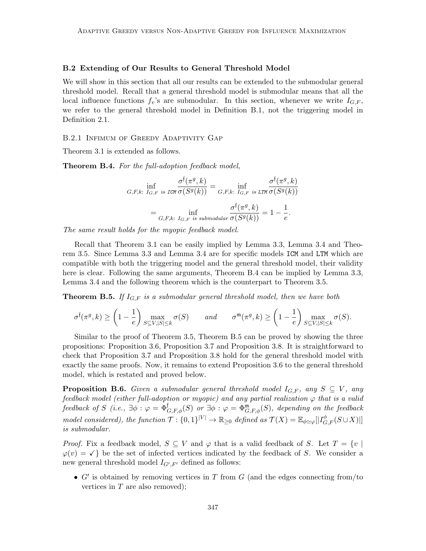#### B.2 Extending of Our Results to General Threshold Model

We will show in this section that all our results can be extended to the submodular general threshold model. Recall that a general threshold model is submodular means that all the local influence functions  $f_v$ 's are submodular. In this section, whenever we write  $I_{G,F}$ , we refer to the general threshold model in Definition B.1, not the triggering model in Definition 2.1.

#### B.2.1 Infimum of Greedy Adaptivity Gap

Theorem 3.1 is extended as follows.

Theorem B.4. For the full-adoption feedback model,

$$
\inf_{G,F,k: I_{G,F} \text{ is ICM}} \frac{\sigma^{\mathfrak{f}}(\pi^g, k)}{\sigma(S^g(k))} = \inf_{G,F,k: I_{G,F} \text{ is ITM}} \frac{\sigma^{\mathfrak{f}}(\pi^g, k)}{\sigma(S^g(k))}
$$

$$
= \inf_{G,F,k: I_{G,F} \text{ is submodular}} \frac{\sigma^{\mathfrak{f}}(\pi^g, k)}{\sigma(S^g(k))} = 1 - \frac{1}{e}.
$$

The same result holds for the myopic feedback model.

Recall that Theorem 3.1 can be easily implied by Lemma 3.3, Lemma 3.4 and Theorem 3.5. Since Lemma 3.3 and Lemma 3.4 are for specific models ICM and LTM which are compatible with both the triggering model and the general threshold model, their validity here is clear. Following the same arguments, Theorem B.4 can be implied by Lemma 3.3, Lemma 3.4 and the following theorem which is the counterpart to Theorem 3.5.

**Theorem B.5.** If  $I_{G,F}$  is a submodular general threshold model, then we have both

$$
\sigma^{\mathfrak{f}}(\pi^g, k) \ge \left(1 - \frac{1}{e}\right) \max_{S \subseteq V, |S| \le k} \sigma(S) \qquad and \qquad \sigma^{\mathfrak{m}}(\pi^g, k) \ge \left(1 - \frac{1}{e}\right) \max_{S \subseteq V, |S| \le k} \sigma(S).
$$

Similar to the proof of Theorem 3.5, Theorem B.5 can be proved by showing the three propositions: Proposition 3.6, Proposition 3.7 and Proposition 3.8. It is straightforward to check that Proposition 3.7 and Proposition 3.8 hold for the general threshold model with exactly the same proofs. Now, it remains to extend Proposition 3.6 to the general threshold model, which is restated and proved below.

**Proposition B.6.** Given a submodular general threshold model  $I_{G,F}$ , any  $S \subseteq V$ , any feedback model (either full-adoption or myopic) and any partial realization  $\varphi$  that is a valid feedback of S (i.e.,  $\exists \phi : \varphi = \Phi_{G,F,\phi}^{\dagger}(S)$  or  $\exists \phi : \varphi = \Phi_{G,F,\phi}^{\mathfrak{m}}(S)$ , depending on the feedback model considered), the function  $\mathcal{T}: \{0,1\}^{|V|} \to \mathbb{R}_{\geq 0}$  defined as  $\mathcal{T}(X) = \mathbb{E}_{\phi \simeq \varphi} [|I_{G,F}^{\phi}(S \cup X)|]$ is submodular.

*Proof.* Fix a feedback model,  $S \subseteq V$  and  $\varphi$  that is a valid feedback of S. Let  $T = \{v \mid$  $\varphi(v) = \checkmark$  be the set of infected vertices indicated by the feedback of S. We consider a new general threshold model  $I_{G',F'}$  defined as follows:

•  $G'$  is obtained by removing vertices in T from  $G$  (and the edges connecting from/to vertices in  $T$  are also removed);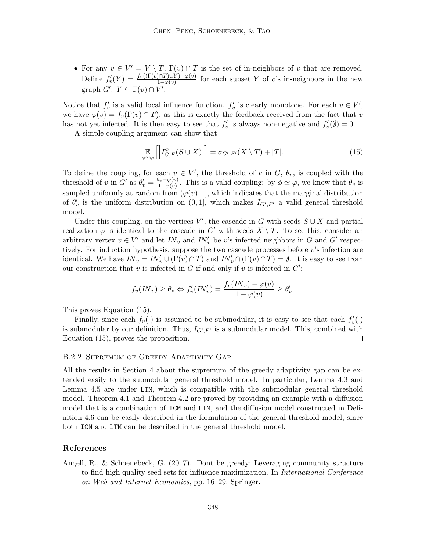• For any  $v \in V' = V \setminus T$ ,  $\Gamma(v) \cap T$  is the set of in-neighbors of v that are removed. Define  $f'_v(Y) = \frac{f_v((\Gamma(v) \cap T) \cup Y) - \varphi(v)}{1 - \varphi(v)}$  for each subset Y of v's in-neighbors in the new graph  $G'$ :  $Y \subseteq \Gamma(v) \cap V'$ .

Notice that  $f'_v$  is a valid local influence function.  $f'_v$  is clearly monotone. For each  $v \in V'$ , we have  $\varphi(v) = f_v(\Gamma(v) \cap T)$ , as this is exactly the feedback received from the fact that v has not yet infected. It is then easy to see that  $f'_v$  is always non-negative and  $f'_v(\emptyset) = 0$ .

A simple coupling argument can show that

$$
\mathop{\mathbb{E}}_{\phi \simeq \varphi} \left[ \left| I_{G,F}^{\phi}(S \cup X) \right| \right] = \sigma_{G',F'}(X \setminus T) + |T|.
$$
\n(15)

To define the coupling, for each  $v \in V'$ , the threshold of v in  $G, \theta_v$ , is coupled with the threshold of v in  $G'$  as  $\theta'_v = \frac{\theta_v - \varphi(v)}{1 - \varphi(v)}$  $\frac{\partial v - \varphi(v)}{\partial x - \varphi(v)}$ . This is a valid coupling: by  $\phi \simeq \varphi$ , we know that  $\theta_v$  is sampled uniformly at random from  $(\varphi(v), 1]$ , which indicates that the marginal distribution of  $\theta'_{v}$  is the uniform distribution on  $(0,1]$ , which makes  $I_{G',F'}$  a valid general threshold model.

Under this coupling, on the vertices V', the cascade in G with seeds  $S \cup X$  and partial realization  $\varphi$  is identical to the cascade in G' with seeds  $X \setminus T$ . To see this, consider an arbitrary vertex  $v \in V'$  and let  $IN_v$  and  $IN'_v$  be v's infected neighbors in G and G' respectively. For induction hypothesis, suppose the two cascade processes before  $v$ 's infection are identical. We have  $IN_v = IN'_v \cup (\Gamma(v) \cap T)$  and  $IN'_v \cap (\Gamma(v) \cap T) = \emptyset$ . It is easy to see from our construction that  $v$  is infected in  $G$  if and only if  $v$  is infected in  $G'$ :

$$
f_v(IN_v) \ge \theta_v \Leftrightarrow f'_v(IN'_v) = \frac{f_v(IN_v) - \varphi(v)}{1 - \varphi(v)} \ge \theta'_v.
$$

This proves Equation (15).

Finally, since each  $f_v(\cdot)$  is assumed to be submodular, it is easy to see that each  $f'_v(\cdot)$ is submodular by our definition. Thus,  $I_{G',F'}$  is a submodular model. This, combined with Equation (15), proves the proposition.  $\Box$ 

#### B.2.2 Supremum of Greedy Adaptivity Gap

All the results in Section 4 about the supremum of the greedy adaptivity gap can be extended easily to the submodular general threshold model. In particular, Lemma 4.3 and Lemma 4.5 are under LTM, which is compatible with the submodular general threshold model. Theorem 4.1 and Theorem 4.2 are proved by providing an example with a diffusion model that is a combination of ICM and LTM, and the diffusion model constructed in Definition 4.6 can be easily described in the formulation of the general threshold model, since both ICM and LTM can be described in the general threshold model.

## References

Angell, R., & Schoenebeck, G. (2017). Dont be greedy: Leveraging community structure to find high quality seed sets for influence maximization. In *International Conference* on Web and Internet Economics, pp. 16–29. Springer.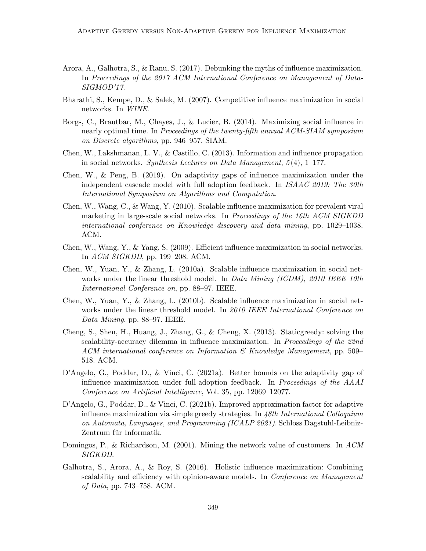- Arora, A., Galhotra, S., & Ranu, S. (2017). Debunking the myths of influence maximization. In Proceedings of the 2017 ACM International Conference on Management of Data-SIGMOD'17.
- Bharathi, S., Kempe, D., & Salek, M. (2007). Competitive influence maximization in social networks. In WINE.
- Borgs, C., Brautbar, M., Chayes, J., & Lucier, B. (2014). Maximizing social influence in nearly optimal time. In Proceedings of the twenty-fifth annual ACM-SIAM symposium on Discrete algorithms, pp. 946–957. SIAM.
- Chen, W., Lakshmanan, L. V., & Castillo, C. (2013). Information and influence propagation in social networks. Synthesis Lectures on Data Management,  $5(4)$ , 1–177.
- Chen, W., & Peng, B. (2019). On adaptivity gaps of influence maximization under the independent cascade model with full adoption feedback. In ISAAC 2019: The 30th International Symposium on Algorithms and Computation.
- Chen, W., Wang, C., & Wang, Y. (2010). Scalable influence maximization for prevalent viral marketing in large-scale social networks. In Proceedings of the 16th ACM SIGKDD international conference on Knowledge discovery and data mining, pp. 1029–1038. ACM.
- Chen, W., Wang, Y., & Yang, S. (2009). Efficient influence maximization in social networks. In ACM SIGKDD, pp. 199–208. ACM.
- Chen, W., Yuan, Y., & Zhang, L. (2010a). Scalable influence maximization in social networks under the linear threshold model. In *Data Mining (ICDM)*, 2010 IEEE 10th International Conference on, pp. 88–97. IEEE.
- Chen, W., Yuan, Y., & Zhang, L. (2010b). Scalable influence maximization in social networks under the linear threshold model. In 2010 IEEE International Conference on Data Mining, pp. 88–97. IEEE.
- Cheng, S., Shen, H., Huang, J., Zhang, G., & Cheng, X. (2013). Staticgreedy: solving the scalability-accuracy dilemma in influence maximization. In *Proceedings of the 22nd* ACM international conference on Information & Knowledge Management, pp. 509– 518. ACM.
- D'Angelo, G., Poddar, D., & Vinci, C. (2021a). Better bounds on the adaptivity gap of influence maximization under full-adoption feedback. In Proceedings of the AAAI Conference on Artificial Intelligence, Vol. 35, pp. 12069–12077.
- D'Angelo, G., Poddar, D., & Vinci, C. (2021b). Improved approximation factor for adaptive influence maximization via simple greedy strategies. In 48th International Colloquium on Automata, Languages, and Programming (ICALP 2021). Schloss Dagstuhl-Leibniz-Zentrum für Informatik.
- Domingos, P., & Richardson, M. (2001). Mining the network value of customers. In ACM SIGKDD.
- Galhotra, S., Arora, A., & Roy, S. (2016). Holistic influence maximization: Combining scalability and efficiency with opinion-aware models. In *Conference on Management* of Data, pp. 743–758. ACM.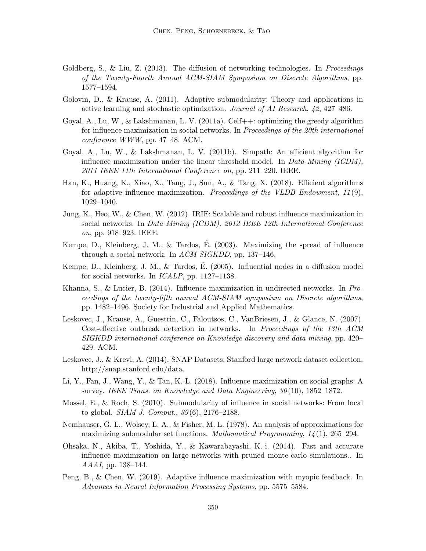- Goldberg, S., & Liu, Z. (2013). The diffusion of networking technologies. In *Proceedings* of the Twenty-Fourth Annual ACM-SIAM Symposium on Discrete Algorithms, pp. 1577–1594.
- Golovin, D., & Krause, A. (2011). Adaptive submodularity: Theory and applications in active learning and stochastic optimization. Journal of AI Research, 42, 427–486.
- Goyal, A., Lu, W., & Lakshmanan, L. V. (2011a). Celf $++:$  optimizing the greedy algorithm for influence maximization in social networks. In *Proceedings of the 20th international* conference WWW, pp. 47–48. ACM.
- Goyal, A., Lu, W., & Lakshmanan, L. V. (2011b). Simpath: An efficient algorithm for influence maximization under the linear threshold model. In Data Mining  $(ICDM)$ , 2011 IEEE 11th International Conference on, pp. 211–220. IEEE.
- Han, K., Huang, K., Xiao, X., Tang, J., Sun, A., & Tang, X. (2018). Efficient algorithms for adaptive influence maximization. Proceedings of the VLDB Endowment,  $11(9)$ , 1029–1040.
- Jung, K., Heo, W., & Chen, W. (2012). IRIE: Scalable and robust influence maximization in social networks. In Data Mining (ICDM), 2012 IEEE 12th International Conference on, pp. 918–923. IEEE.
- Kempe, D., Kleinberg, J. M., & Tardos, É.  $(2003)$ . Maximizing the spread of influence through a social network. In ACM SIGKDD, pp. 137–146.
- Kempe, D., Kleinberg, J. M., & Tardos, E.  $(2005)$ . Influential nodes in a diffusion model for social networks. In ICALP, pp. 1127–1138.
- Khanna, S., & Lucier, B. (2014). Influence maximization in undirected networks. In Proceedings of the twenty-fifth annual ACM-SIAM symposium on Discrete algorithms, pp. 1482–1496. Society for Industrial and Applied Mathematics.
- Leskovec, J., Krause, A., Guestrin, C., Faloutsos, C., VanBriesen, J., & Glance, N. (2007). Cost-effective outbreak detection in networks. In Proceedings of the 13th ACM SIGKDD international conference on Knowledge discovery and data mining, pp. 420– 429. ACM.
- Leskovec, J., & Krevl, A. (2014). SNAP Datasets: Stanford large network dataset collection. http://snap.stanford.edu/data.
- Li, Y., Fan, J., Wang, Y., & Tan, K.-L. (2018). Influence maximization on social graphs: A survey. IEEE Trans. on Knowledge and Data Engineering, 30 (10), 1852–1872.
- Mossel, E., & Roch, S. (2010). Submodularity of influence in social networks: From local to global. SIAM J. Comput., 39 (6), 2176–2188.
- Nemhauser, G. L., Wolsey, L. A., & Fisher, M. L. (1978). An analysis of approximations for maximizing submodular set functions. Mathematical Programming, 14 (1), 265–294.
- Ohsaka, N., Akiba, T., Yoshida, Y., & Kawarabayashi, K.-i. (2014). Fast and accurate influence maximization on large networks with pruned monte-carlo simulations.. In AAAI, pp. 138–144.
- Peng, B., & Chen, W. (2019). Adaptive influence maximization with myopic feedback. In Advances in Neural Information Processing Systems, pp. 5575–5584.